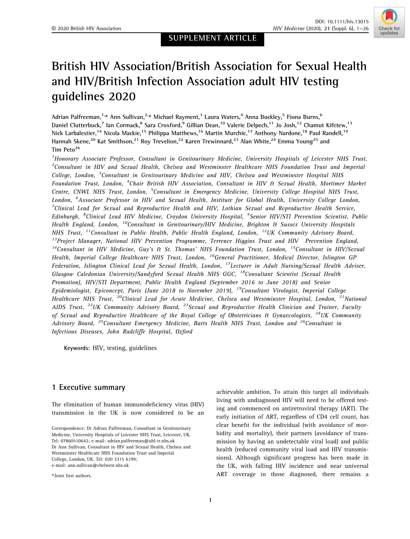

# British HIV Association/British Association for Sexual Health and HIV/British Infection Association adult HIV testing guidelines 2020

Adrian Palfreeman, <sup>1,\*</sup> Ann Sullivan, <sup>2,\*</sup> Michael Rayment, <sup>3</sup> Laura Waters, <sup>4</sup> Anna Buckley, <sup>5</sup> Fiona Burns, <sup>6</sup> Daniel Clutterbuck,<sup>7</sup> Ian Cormack,<sup>8</sup> Sara Croxford,<sup>9</sup> Gillian Dean,<sup>10</sup> Valerie Delpech,<sup>11</sup> Jo Josh,<sup>12</sup> Chamut Kifetew,<sup>13</sup> Nick Larbalestier,14 Nicola Mackie,<sup>15</sup> Philippa Matthews,<sup>16</sup> Martin Murchie,<sup>17</sup> Anthony Nardone,18 Paul Randell,<sup>19</sup> Hannah Skene,<sup>20</sup> Kat Smithson,<sup>21</sup> Roy Trevelion,<sup>22</sup> Karen Trewinnard,<sup>23</sup> Alan White,<sup>24</sup> Emma Young<sup>25</sup> and Tim Peto<sup>26</sup>

<sup>1</sup>Honorary Associate Professor, Consultant in Genitourinary Medicine, University Hospitals of Leicester NHS Trust,  $^2$ Consultant in HIV and Sexual Health, Chelsea and Westminster Healthcare NHS Foundation Trust and Imperial College, London, <sup>3</sup>Consultant in Genitourinary Medicine and HIV, Chelsea and Westminster Hospital NHS Foundation Trust, London, <sup>4</sup>Chair British HIV Association, Consultant in HIV & Sexual Health, Mortimer Market Centre, CNWL NHS Trust, London, <sup>5</sup>Consultant in Emergency Medicine, University College Hospital NHS Trust, London, <sup>6</sup> Associate Professor in HIV and Sexual Health, Institute for Global Health, University College London, <sup>7</sup>Clinical Lead for Sexual and Reproductive Health and HIV, Lothian Sexual and Reproductive Health Service, Edinburgh, <sup>8</sup>Clinical Lead HIV Medicine, Croydon University Hospital, <sup>9</sup>Senior HIV/STI Prevention Scientist, Public Health England, London, <sup>10</sup>Consultant in Genitourinary/HIV Medicine, Brighton & Sussex University Hospitals NHS Trust,  $^{11}$ Consultant in Public Health, Public Health England, London,  $^{12}$ UK Community Advisory Board, <sup>13</sup>Project Manager, National HIV Prevention Programme, Terrence Higgins Trust and HIV Prevention England,  $14$ Consultant in HIV Medicine, Guy's & St. Thomas' NHS Foundation Trust, London,  $15$ Consultant in HIV/Sexual Health, Imperial College Healthcare NHS Trust, London, 16General Practitioner, Medical Director, Islington GP Federation, Islington Clinical Lead for Sexual Health, London, <sup>17</sup>Lecturer in Adult Nursing/Sexual Health Adviser, Glasgow Caledonian University/Sandyford Sexual Health NHS GGC, <sup>18</sup>Consultant Scientist (Sexual Health Promotion), HIV/STI Department, Public Health England (September 2016 to June 2018) and Senior Epidemiologist, Epiconcept, Paris (June 2018 to November 2019), 19Consultant Virologist, Imperial College Healthcare NHS Trust, <sup>20</sup>Clinical Lead for Acute Medicine, Chelsea and Westminster Hospital, London, <sup>21</sup>National AIDS Trust, <sup>22</sup>UK Community Advisory Board, <sup>23</sup> Sexual and Reproductive Health Clinician and Trainer, Faculty of Sexual and Reproductive Healthcare of the Royal College of Obstetricians & Gynaecologists,  $^{24}$ UK Community Advisory Board, <sup>25</sup>Consultant Emergency Medicine, Barts Health NHS Trust, London and <sup>26</sup>Consultant in Infectious Diseases, John Radcliffe Hospital, Oxford

Keywords: HIV, testing, guidelines

### 1 Executive summary

The elimination of human immunodeficiency virus (HIV) transmission in the UK is now considered to be an

Correspondence: Dr Adrian Palfreeman, Consultant in Genitourinary Medicine, University Hospitals of Leicester NHS Trust, Leicester, UK. Tel: 07860510642; e-mail: [adrian.palfreeman@uhl-tr.nhs.uk](mailto:) Dr Ann Sullivan, Consultant in HIV and Sexual Health, Chelsea and Westminster Healthcare NHS Foundation Trust and Imperial College, London, UK. Tel: 020 3315 6199; e-mail: ann.sullivan@chelwest.nhs.uk

\*Joint first authors.

achievable ambition. To attain this target all individuals living with undiagnosed HIV will need to be offered testing and commenced on antiretroviral therapy (ART). The early initiation of ART, regardless of CD4 cell count, has clear benefit for the individual (with avoidance of morbidity and mortality), their partners (avoidance of transmission by having an undetectable viral load) and public health (reduced community viral load and HIV transmissions). Although significant progress has been made in the UK, with falling HIV incidence and near universal ART coverage in those diagnosed, there remains a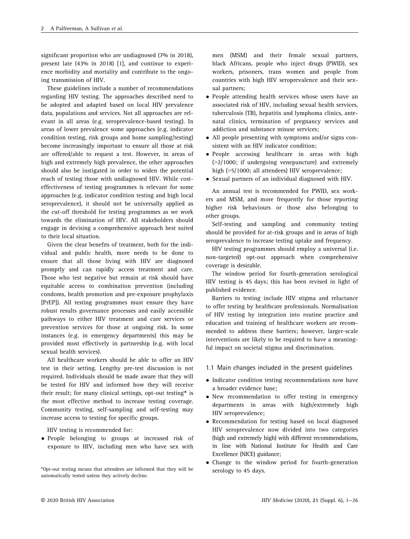significant proportion who are undiagnosed (7% in 2018), present late (43% in 2018) [1], and continue to experience morbidity and mortality and contribute to the ongoing transmission of HIV.

These guidelines include a number of recommendations regarding HIV testing. The approaches described need to be adopted and adapted based on local HIV prevalence data, populations and services. Not all approaches are relevant in all areas (e.g. seroprevalence-based testing). In areas of lower prevalence some approaches (e.g. indicator condition testing, risk groups and home sampling/testing) become increasingly important to ensure all those at risk are offered/able to request a test. However, in areas of high and extremely high prevalence, the other approaches should also be instigated in order to widen the potential reach of testing those with undiagnosed HIV. While costeffectiveness of testing programmes is relevant for some approaches (e.g. indicator condition testing and high local seroprevalence), it should not be universally applied as the cut-off threshold for testing programmes as we work towards the elimination of HIV. All stakeholders should engage in devising a comprehensive approach best suited to their local situation.

Given the clear benefits of treatment, both for the individual and public health, more needs to be done to ensure that all those living with HIV are diagnosed promptly and can rapidly access treatment and care. Those who test negative but remain at risk should have equitable access to combination prevention (including condoms, health promotion and pre-exposure prophylaxis [PrEP]). All testing programmes must ensure they have robust results governance processes and easily accessible pathways to either HIV treatment and care services or prevention services for those at ongoing risk. In some instances (e.g. in emergency departments) this may be provided most effectively in partnership (e.g. with local sexual health services).

All healthcare workers should be able to offer an HIV test in their setting. Lengthy pre-test discussion is not required. Individuals should be made aware that they will be tested for HIV and informed how they will receive their result; for many clinical settings, opt-out testing\* is the most effective method to increase testing coverage. Community testing, self-sampling and self-testing may increase access to testing for specific groups.

HIV testing is recommended for:

• People belonging to groups at increased risk of exposure to HIV, including men who have sex with

men (MSM) and their female sexual partners, black Africans, people who inject drugs (PWID), sex workers, prisoners, trans women and people from countries with high HIV seroprevalence and their sexual partners;

- People attending health services whose users have an associated risk of HIV, including sexual health services, tuberculosis (TB), hepatitis and lymphoma clinics, antenatal clinics, termination of pregnancy services and addiction and substance misuse services;
- All people presenting with symptoms and/or signs consistent with an HIV indicator condition;
- People accessing healthcare in areas with high (>2/1000; if undergoing venepuncture) and extremely high (>5/1000; all attendees) HIV seroprevalence;
- Sexual partners of an individual diagnosed with HIV.

An annual test is recommended for PWID, sex workers and MSM, and more frequently for those reporting higher risk behaviours or those also belonging to other groups.

Self-testing and sampling and community testing should be provided for at-risk groups and in areas of high seroprevalence to increase testing uptake and frequency.

HIV testing programmes should employ a universal (i.e. non-targeted) opt-out approach when comprehensive coverage is desirable.

The window period for fourth-generation serological HIV testing is 45 days; this has been revised in light of published evidence.

Barriers to testing include HIV stigma and reluctance to offer testing by healthcare professionals. Normalisation of HIV testing by integration into routine practice and education and training of healthcare workers are recommended to address these barriers; however, larger-scale interventions are likely to be required to have a meaningful impact on societal stigma and discrimination.

1.1 Main changes included in the present guidelines

- Indicator condition testing recommendations now have a broader evidence base;
- New recommendation to offer testing in emergency departments in areas with high/extremely high HIV seroprevalence;
- Recommendation for testing based on local diagnosed HIV seroprevalence now divided into two categories (high and extremely high) with different recommendations, in line with National Institute for Health and Care Excellence (NICE) guidance;
- Change to the window period for fourth-generation serology to 45 days.

<sup>\*</sup>Opt-out testing means that attendees are informed that they will be automatically tested unless they actively decline.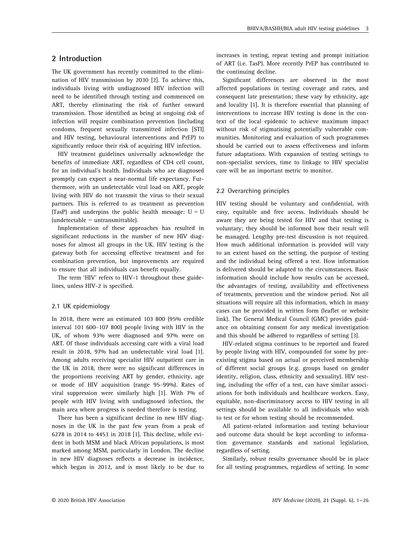### 2 Introduction

The UK government has recently committed to the elimination of HIV transmission by 2030 [2]. To achieve this, individuals living with undiagnosed HIV infection will need to be identified through testing and commenced on ART, thereby eliminating the risk of further onward transmission. Those identified as being at ongoing risk of infection will require combination prevention (including condoms, frequent sexually transmitted infection [STI] and HIV testing, behavioural interventions and PrEP) to significantly reduce their risk of acquiring HIV infection.

HIV treatment guidelines universally acknowledge the benefits of immediate ART, regardless of CD4 cell count, for an individual's health. Individuals who are diagnosed promptly can expect a near-normal life expectancy. Furthermore, with an undetectable viral load on ART, people living with HIV do not transmit the virus to their sexual partners. This is referred to as treatment as prevention (TasP) and underpins the public health message:  $U = U$ (undetectable = untransmittable).

Implementation of these approaches has resulted in significant reductions in the number of new HIV diagnoses for almost all groups in the UK. HIV testing is the gateway both for accessing effective treatment and for combination prevention, but improvements are required to ensure that all individuals can benefit equally.

The term 'HIV' refers to HIV-1 throughout these guidelines, unless HIV-2 is specified.

#### 2.1 UK epidemiology

In 2018, there were an estimated 103 800 (95% credible interval 101 600–107 800) people living with HIV in the UK, of whom 93% were diagnosed and 97% were on ART. Of those individuals accessing care with a viral load result in 2018, 97% had an undetectable viral load [1]. Among adults receiving specialist HIV outpatient care in the UK in 2018, there were no significant differences in the proportions receiving ART by gender, ethnicity, age or mode of HIV acquisition (range 95–99%). Rates of viral suppression were similarly high [1]. With 7% of people with HIV living with undiagnosed infection, the main area where progress is needed therefore is testing.

There has been a significant decline in new HIV diagnoses in the UK in the past few years from a peak of 6278 in 2014 to 4453 in 2018 [1]. This decline, while evident in both MSM and black African populations, is most marked among MSM, particularly in London. The decline in new HIV diagnoses reflects a decrease in incidence, which began in 2012, and is most likely to be due to increases in testing, repeat testing and prompt initiation of ART (i.e. TasP). More recently PrEP has contributed to the continuing decline.

Significant differences are observed in the most affected populations in testing coverage and rates, and consequent late presentation; these vary by ethnicity, age and locality [1]. It is therefore essential that planning of interventions to increase HIV testing is done in the context of the local epidemic to achieve maximum impact without risk of stigmatising potentially vulnerable communities. Monitoring and evaluation of such programmes should be carried out to assess effectiveness and inform future adaptations. With expansion of testing settings to non-specialist services, time to linkage to HIV specialist care will be an important metric to monitor.

#### 2.2 Overarching principles

HIV testing should be voluntary and confidential, with easy, equitable and free access. Individuals should be aware they are being tested for HIV and that testing is voluntary; they should be informed how their result will be managed. Lengthy pre-test discussion is not required. How much additional information is provided will vary to an extent based on the setting, the purpose of testing and the individual being offered a test. How information is delivered should be adapted to the circumstances. Basic information should include how results can be accessed, the advantages of testing, availability and effectiveness of treatments, prevention and the window period. Not all situations will require all this information, which in many cases can be provided in written form (leaflet or website link). The General Medical Council (GMC) provides guidance on obtaining consent for any medical investigation and this should be adhered to regardless of setting [3].

HIV-related stigma continues to be reported and feared by people living with HIV, compounded for some by preexisting stigma based on actual or perceived membership of different social groups (e.g. groups based on gender identity, religion, class, ethnicity and sexuality). HIV testing, including the offer of a test, can have similar associations for both individuals and healthcare workers. Easy, equitable, non-discriminatory access to HIV testing in all settings should be available to all individuals who wish to test or for whom testing should be recommended.

All patient-related information and testing behaviour and outcome data should be kept according to information governance standards and national legislation, regardless of setting.

Similarly, robust results governance should be in place for all testing programmes, regardless of setting. In some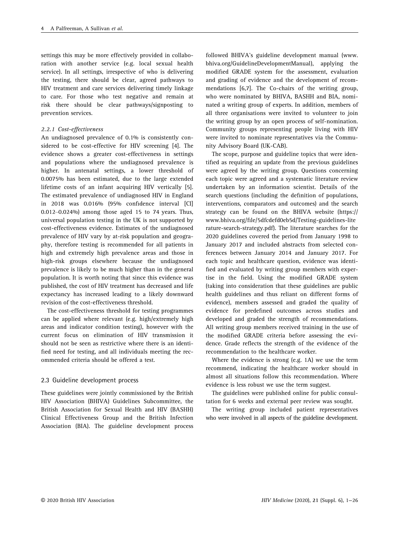settings this may be more effectively provided in collaboration with another service (e.g. local sexual health service). In all settings, irrespective of who is delivering the testing, there should be clear, agreed pathways to HIV treatment and care services delivering timely linkage to care. For those who test negative and remain at risk there should be clear pathways/signposting to prevention services.

#### 2.2.1 Cost-effectiveness

An undiagnosed prevalence of 0.1% is consistently considered to be cost-effective for HIV screening [4]. The evidence shows a greater cost-effectiveness in settings and populations where the undiagnosed prevalence is higher. In antenatal settings, a lower threshold of 0.0075% has been estimated, due to the large extended lifetime costs of an infant acquiring HIV vertically [5]. The estimated prevalence of undiagnosed HIV in England in 2018 was 0.016% (95% confidence interval [CI] 0.012–0.024%) among those aged 15 to 74 years. Thus, universal population testing in the UK is not supported by cost-effectiveness evidence. Estimates of the undiagnosed prevalence of HIV vary by at-risk population and geography, therefore testing is recommended for all patients in high and extremely high prevalence areas and those in high-risk groups elsewhere because the undiagnosed prevalence is likely to be much higher than in the general population. It is worth noting that since this evidence was published, the cost of HIV treatment has decreased and life expectancy has increased leading to a likely downward revision of the cost-effectiveness threshold.

The cost-effectiveness threshold for testing programmes can be applied where relevant (e.g. high/extremely high areas and indicator condition testing), however with the current focus on elimination of HIV transmission it should not be seen as restrictive where there is an identified need for testing, and all individuals meeting the recommended criteria should be offered a test.

#### 2.3 Guideline development process

These guidelines were jointly commissioned by the British HIV Association (BHIVA) Guidelines Subcommittee, the British Association for Sexual Health and HIV (BASHH) Clinical Effectiveness Group and the British Infection Association (BIA). The guideline development process

followed BHIVA's guideline development manual ([www.](http://www.bhiva.org/GuidelineDevelopmentManual) [bhiva.org/GuidelineDevelopmentManual](http://www.bhiva.org/GuidelineDevelopmentManual)), applying the modified GRADE system for the assessment, evaluation and grading of evidence and the development of recommendations [6,7]. The Co-chairs of the writing group, who were nominated by BHIVA, BASHH and BIA, nominated a writing group of experts. In addition, members of all three organisations were invited to volunteer to join the writing group by an open process of self-nomination. Community groups representing people living with HIV were invited to nominate representatives via the Community Advisory Board (UK-CAB).

The scope, purpose and guideline topics that were identified as requiring an update from the previous guidelines were agreed by the writing group. Questions concerning each topic were agreed and a systematic literature review undertaken by an information scientist. Details of the search questions (including the definition of populations, interventions, comparators and outcomes) and the search strategy can be found on the BHIVA website ([https://](https://www.bhiva.org/file/5dfcdefd0eb5d/Testing-guidelines-literature-search-strategy.pdf) [www.bhiva.org/file/5dfcdefd0eb5d/Testing-guidelines-lite](https://www.bhiva.org/file/5dfcdefd0eb5d/Testing-guidelines-literature-search-strategy.pdf) [rature-search-strategy.pdf\)](https://www.bhiva.org/file/5dfcdefd0eb5d/Testing-guidelines-literature-search-strategy.pdf). The literature searches for the 2020 guidelines covered the period from January 1998 to January 2017 and included abstracts from selected conferences between January 2014 and January 2017. For each topic and healthcare question, evidence was identified and evaluated by writing group members with expertise in the field. Using the modified GRADE system (taking into consideration that these guidelines are public health guidelines and thus reliant on different forms of evidence), members assessed and graded the quality of evidence for predefined outcomes across studies and developed and graded the strength of recommendations. All writing group members received training in the use of the modified GRADE criteria before assessing the evidence. Grade reflects the strength of the evidence of the recommendation to the healthcare worker.

Where the evidence is strong (e.g. 1A) we use the term recommend, indicating the healthcare worker should in almost all situations follow this recommendation. Where evidence is less robust we use the term suggest.

The guidelines were published online for public consultation for 6 weeks and external peer review was sought.

The writing group included patient representatives who were involved in all aspects of the guideline development.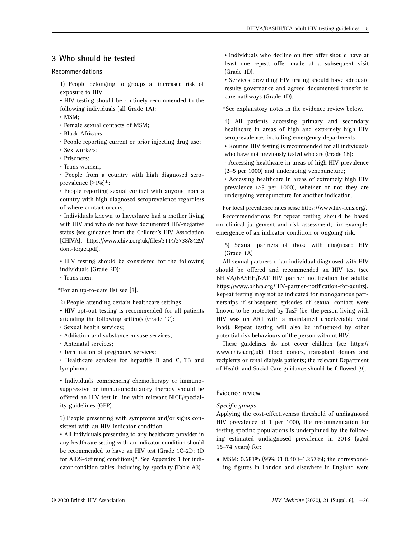### 3 Who should be tested

Recommendations

1) People belonging to groups at increased risk of exposure to HIV

• HIV testing should be routinely recommended to the following individuals (all Grade 1A):

∘ MSM;

- ∘ Female sexual contacts of MSM;
- ∘ Black Africans;
- ∘ People reporting current or prior injecting drug use;
- ∘ Sex workers;
- ∘ Prisoners;
- ∘ Trans women;

∘ People from a country with high diagnosed seroprevalence  $(>1\%)$ \*:

∘ People reporting sexual contact with anyone from a country with high diagnosed seroprevalence regardless of where contact occurs;

∘ Individuals known to have/have had a mother living with HIV and who do not have documented HIV-negative status (see guidance from the Children's HIV Association [CHIVA]: [https://www.chiva.org.uk/files/3114/2738/8429/](https://www.chiva.org.uk/files/3114/2738/8429/dont-forget.pdf) [dont-forget.pdf\)](https://www.chiva.org.uk/files/3114/2738/8429/dont-forget.pdf).

• HIV testing should be considered for the following individuals (Grade 2D):

∘ Trans men.

\*For an up-to-date list see [8].

2) People attending certain healthcare settings

• HIV opt-out testing is recommended for all patients attending the following settings (Grade 1C):

- ∘ Sexual health services;
- ∘ Addiction and substance misuse services;
- ∘ Antenatal services;
- ∘ Termination of pregnancy services;

∘ Healthcare services for hepatitis B and C, TB and lymphoma.

• Individuals commencing chemotherapy or immunosuppressive or immunomodulatory therapy should be offered an HIV test in line with relevant NICE/speciality guidelines (GPP).

3) People presenting with symptoms and/or signs consistent with an HIV indicator condition

• All individuals presenting to any healthcare provider in any healthcare setting with an indicator condition should be recommended to have an HIV test (Grade 1C–2D; 1D for AIDS-defining conditions)\*. See Appendix 1 for indicator condition tables, including by specialty (Table A3).

• Individuals who decline on first offer should have at least one repeat offer made at a subsequent visit (Grade 1D).

• Services providing HIV testing should have adequate results governance and agreed documented transfer to care pathways (Grade 1D).

\*See explanatory notes in the evidence review below.

4) All patients accessing primary and secondary healthcare in areas of high and extremely high HIV seroprevalence, including emergency departments

• Routine HIV testing is recommended for all individuals who have not previously tested who are (Grade 1B):

∘ Accessing healthcare in areas of high HIV prevalence (2–5 per 1000) and undergoing venepuncture;

∘ Accessing healthcare in areas of extremely high HIV prevalence (>5 per 1000), whether or not they are undergoing venepuncture for another indication.

For local prevalence rates sesse<https://www.hiv-lens.org/>.

Recommendations for repeat testing should be based on clinical judgement and risk assessment; for example, emergence of an indicator condition or ongoing risk.

5) Sexual partners of those with diagnosed HIV (Grade 1A)

All sexual partners of an individual diagnosed with HIV should be offered and recommended an HIV test (see BHIVA/BASHH/NAT HIV partner notification for adults: <https://www.bhiva.org/HIV-partner-notification-for-adults>). Repeat testing may not be indicated for monogamous partnerships if subsequent episodes of sexual contact were known to be protected by TasP (i.e. the person living with HIV was on ART with a maintained undetectable viral load). Repeat testing will also be influenced by other potential risk behaviours of the person without HIV.

These guidelines do not cover children (see [https://](https://www.chiva.org.uk) [www.chiva.org.uk\)](https://www.chiva.org.uk), blood donors, transplant donors and recipients or renal dialysis patients; the relevant Department of Health and Social Care guidance should be followed [9].

#### Evidence review

#### Specific groups

Applying the cost-effectiveness threshold of undiagnosed HIV prevalence of 1 per 1000, the recommendation for testing specific populations is underpinned by the following estimated undiagnosed prevalence in 2018 (aged 15–74 years) for:

• MSM: 0.681% (95% CI 0.403-1.257%); the corresponding figures in London and elsewhere in England were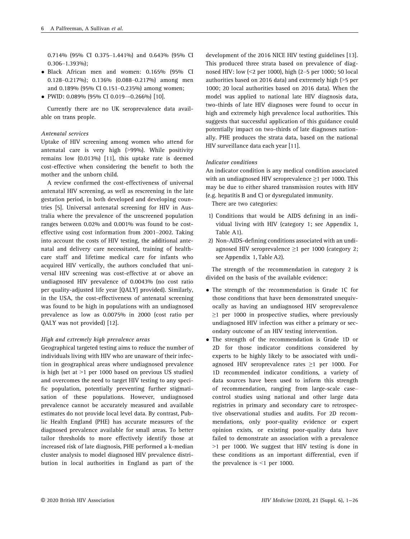0.714% (95% CI 0.375–1.441%) and 0.643% (95% CI 0.306–1.393%);

- Black African men and women: 0.165% (95% CI 0.128–0.217%); 0.136% (0.088–0.217%) among men and 0.189% (95% CI 0.151–0.235%) among women;
- PWID: 0.089% (95% CI 0.019–-0.266%) [10].

Currently there are no UK seroprevalence data available on trans people.

#### Antenatal services

Uptake of HIV screening among women who attend for antenatal care is very high (>99%). While positivity remains low (0.013%) [11], this uptake rate is deemed cost-effective when considering the benefit to both the mother and the unborn child.

A review confirmed the cost-effectiveness of universal antenatal HIV screening, as well as rescreening in the late gestation period, in both developed and developing countries [5]. Universal antenatal screening for HIV in Australia where the prevalence of the unscreened population ranges between 0.02% and 0.001% was found to be costeffective using cost information from 2001–2002. Taking into account the costs of HIV testing, the additional antenatal and delivery care necessitated, training of healthcare staff and lifetime medical care for infants who acquired HIV vertically, the authors concluded that universal HIV screening was cost-effective at or above an undiagnosed HIV prevalence of 0.0043% (no cost ratio per quality-adjusted life year [QALY] provided). Similarly, in the USA, the cost-effectiveness of antenatal screening was found to be high in populations with an undiagnosed prevalence as low as 0.0075% in 2000 (cost ratio per QALY was not provided) [12].

### High and extremely high prevalence areas

Geographical targeted testing aims to reduce the number of individuals living with HIV who are unaware of their infection in geographical areas where undiagnosed prevalence is high (set at >1 per 1000 based on previous US studies) and overcomes the need to target HIV testing to any specific population, potentially preventing further stigmatisation of these populations. However, undiagnosed prevalence cannot be accurately measured and available estimates do not provide local level data. By contrast, Public Health England (PHE) has accurate measures of the diagnosed prevalence available for small areas. To better tailor thresholds to more effectively identify those at increased risk of late diagnosis, PHE performed a k-median cluster analysis to model diagnosed HIV prevalence distribution in local authorities in England as part of the

development of the 2016 NICE HIV testing guidelines [13]. This produced three strata based on prevalence of diagnosed HIV: low (<2 per 1000), high (2–5 per 1000; 50 local authorities based on 2016 data) and extremely high (>5 per 1000; 20 local authorities based on 2016 data). When the model was applied to national late HIV diagnosis data, two-thirds of late HIV diagnoses were found to occur in high and extremely high prevalence local authorities. This suggests that successful application of this guidance could potentially impact on two-thirds of late diagnoses nationally. PHE produces the strata data, based on the national HIV surveillance data each year [11].

#### Indicator conditions

An indicator condition is any medical condition associated with an undiagnosed HIV seroprevalence  $\geq$ 1 per 1000. This may be due to either shared transmission routes with HIV (e.g. hepatitis B and C) or dysregulated immunity.

There are two categories:

- 1) Conditions that would be AIDS defining in an individual living with HIV (category 1; see Appendix 1, Table A1).
- 2) Non-AIDS-defining conditions associated with an undiagnosed HIV seroprevalence ≥1 per 1000 (category 2; see Appendix 1, Table A2).

The strength of the recommendation in category 2 is divided on the basis of the available evidence:

- The strength of the recommendation is Grade 1C for those conditions that have been demonstrated unequivocally as having an undiagnosed HIV seroprevalence  $\geq$ 1 per 1000 in prospective studies, where previously undiagnosed HIV infection was either a primary or secondary outcome of an HIV testing intervention.
- The strength of the recommendation is Grade 1D or 2D for those indicator conditions considered by experts to be highly likely to be associated with undiagnosed HIV seroprevalence rates ≥1 per 1000. For 1D recommended indicator conditions, a variety of data sources have been used to inform this strength of recommendation, ranging from large-scale case– control studies using national and other large data registries in primary and secondary care to retrospective observational studies and audits. For 2D recommendations, only poor-quality evidence or expert opinion exists, or existing poor-quality data have failed to demonstrate an association with a prevalence >1 per 1000. We suggest that HIV testing is done in these conditions as an important differential, even if the prevalence is <1 per 1000.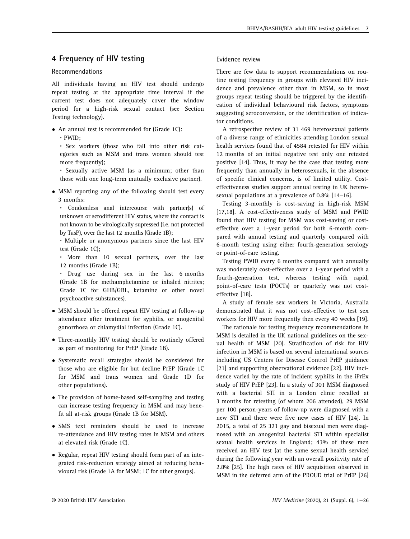### 4 Frequency of HIV testing

#### Recommendations

All individuals having an HIV test should undergo repeat testing at the appropriate time interval if the current test does not adequately cover the window period for a high-risk sexual contact (see Section Testing technology).

- An annual test is recommended for (Grade 1C):
	- ∘ PWID;

∘ Sex workers (those who fall into other risk categories such as MSM and trans women should test more frequently);

- ∘ Sexually active MSM (as a minimum; other than those with one long-term mutually exclusive partner).
- MSM reporting any of the following should test every 3 months:

∘ Condomless anal intercourse with partner(s) of unknown or serodifferent HIV status, where the contact is not known to be virologically supressed (i.e. not protected by TasP), over the last 12 months (Grade 1B);

∘ Multiple or anonymous partners since the last HIV test (Grade 1C);

∘ More than 10 sexual partners, over the last 12 months (Grade 1B);

∘ Drug use during sex in the last 6 months (Grade 1B for methamphetamine or inhaled nitrites; Grade 1C for GHB/GBL, ketamine or other novel psychoactive substances).

- MSM should be offered repeat HIV testing at follow-up attendance after treatment for syphilis, or anogenital gonorrhoea or chlamydial infection (Grade 1C).
- Three-monthly HIV testing should be routinely offered as part of monitoring for PrEP (Grade 1B).
- Systematic recall strategies should be considered for those who are eligible for but decline PrEP (Grade 1C for MSM and trans women and Grade 1D for other populations).
- The provision of home-based self-sampling and testing can increase testing frequency in MSM and may benefit all at-risk groups (Grade 1B for MSM).
- SMS text reminders should be used to increase re-attendance and HIV testing rates in MSM and others at elevated risk (Grade 1C).
- Regular, repeat HIV testing should form part of an integrated risk-reduction strategy aimed at reducing behavioural risk (Grade 1A for MSM; 1C for other groups).

#### Evidence review

There are few data to support recommendations on routine testing frequency in groups with elevated HIV incidence and prevalence other than in MSM, so in most groups repeat testing should be triggered by the identification of individual behavioural risk factors, symptoms suggesting seroconversion, or the identification of indicator conditions.

A retrospective review of 31 469 heterosexual patients of a diverse range of ethnicities attending London sexual health services found that of 4584 retested for HIV within 12 months of an initial negative test only one retested positive [14]. Thus, it may be the case that testing more frequently than annually in heterosexuals, in the absence of specific clinical concerns, is of limited utility. Costeffectiveness studies support annual testing in UK heterosexual populations at a prevalence of 0.8% [14–16].

Testing 3-monthly is cost-saving in high-risk MSM [17,18]. A cost-effectiveness study of MSM and PWID found that HIV testing for MSM was cost-saving or costeffective over a 1-year period for both 6-month compared with annual testing and quarterly compared with 6-month testing using either fourth-generation serology or point-of-care testing.

Testing PWID every 6 months compared with annually was moderately cost-effective over a 1-year period with a fourth-generation test, whereas testing with rapid, point-of-care tests (POCTs) or quarterly was not costeffective [18].

A study of female sex workers in Victoria, Australia demonstrated that it was not cost-effective to test sex workers for HIV more frequently then every 40 weeks [19].

The rationale for testing frequency recommendations in MSM is detailed in the UK national guidelines on the sexual health of MSM [20]. Stratification of risk for HIV infection in MSM is based on several international sources including US Centers for Disease Control PrEP guidance [21] and supporting observational evidence [22]. HIV incidence varied by the rate of incident syphilis in the iPrEx study of HIV PrEP [23]. In a study of 301 MSM diagnosed with a bacterial STI in a London clinic recalled at 3 months for retesting (of whom 206 attended), 29 MSM per 100 person-years of follow-up were diagnosed with a new STI and there were five new cases of HIV [24]. In 2015, a total of 25 321 gay and bisexual men were diagnosed with an anogenital bacterial STI within specialist sexual health services in England; 43% of these men received an HIV test (at the same sexual health service) during the following year with an overall positivity rate of 2.8% [25]. The high rates of HIV acquisition observed in MSM in the deferred arm of the PROUD trial of PrEP [26]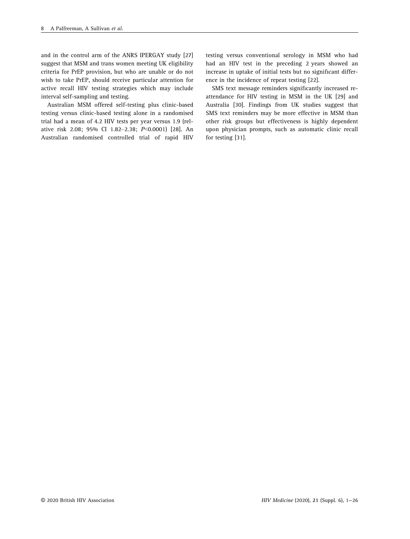and in the control arm of the ANRS IPERGAY study [27] suggest that MSM and trans women meeting UK eligibility criteria for PrEP provision, but who are unable or do not wish to take PrEP, should receive particular attention for active recall HIV testing strategies which may include interval self-sampling and testing.

Australian MSM offered self-testing plus clinic-based testing versus clinic-based testing alone in a randomised trial had a mean of 4.2 HIV tests per year versus 1.9 (relative risk 2.08; 95% CI 1.82–2.38; P<0.0001) [28]. An Australian randomised controlled trial of rapid HIV testing versus conventional serology in MSM who had had an HIV test in the preceding 2 years showed an increase in uptake of initial tests but no significant difference in the incidence of repeat testing [22].

SMS text message reminders significantly increased reattendance for HIV testing in MSM in the UK [29] and Australia [30]. Findings from UK studies suggest that SMS text reminders may be more effective in MSM than other risk groups but effectiveness is highly dependent upon physician prompts, such as automatic clinic recall for testing [31].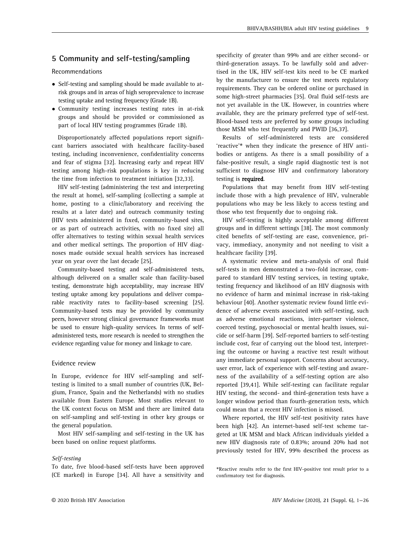### 5 Community and self-testing/sampling

Recommendations

- Self-testing and sampling should be made available to atrisk groups and in areas of high seroprevalence to increase testing uptake and testing frequency (Grade 1B).
- Community testing increases testing rates in at-risk groups and should be provided or commissioned as part of local HIV testing programmes (Grade 1B).

Disproportionately affected populations report significant barriers associated with healthcare facility-based testing, including inconvenience, confidentiality concerns and fear of stigma [32]. Increasing early and repeat HIV testing among high-risk populations is key in reducing the time from infection to treatment initiation [32,33].

HIV self-testing (administering the test and interpreting the result at home), self-sampling (collecting a sample at home, posting to a clinic/laboratory and receiving the results at a later date) and outreach community testing (HIV tests administered in fixed, community-based sites, or as part of outreach activities, with no fixed site) all offer alternatives to testing within sexual health services and other medical settings. The proportion of HIV diagnoses made outside sexual health services has increased year on year over the last decade [25].

Community-based testing and self-administered tests, although delivered on a smaller scale than facility-based testing, demonstrate high acceptability, may increase HIV testing uptake among key populations and deliver comparable reactivity rates to facility-based screening [25]. Community-based tests may be provided by community peers, however strong clinical governance frameworks must be used to ensure high-quality services. In terms of selfadministered tests, more research is needed to strengthen the evidence regarding value for money and linkage to care.

#### Evidence review

In Europe, evidence for HIV self-sampling and selftesting is limited to a small number of countries (UK, Belgium, France, Spain and the Netherlands) with no studies available from Eastern Europe. Most studies relevant to the UK context focus on MSM and there are limited data on self-sampling and self-testing in other key groups or the general population.

Most HIV self-sampling and self-testing in the UK has been based on online request platforms.

#### Self-testing

To date, five blood-based self-tests have been approved (CE marked) in Europe [34]. All have a sensitivity and specificity of greater than 99% and are either second- or third-generation assays. To be lawfully sold and advertised in the UK, HIV self-test kits need to be CE marked by the manufacturer to ensure the test meets regulatory requirements. They can be ordered online or purchased in some high-street pharmacies [35]. Oral fluid self-tests are not yet available in the UK. However, in countries where available, they are the primary preferred type of self-test. Blood-based tests are preferred by some groups including those MSM who test frequently and PWID [36,37].

Results of self-administered tests are considered 'reactive'\* when they indicate the presence of HIV antibodies or antigens. As there is a small possibility of a false-positive result, a single rapid diagnostic test is not sufficient to diagnose HIV and confirmatory laboratory testing is required.

Populations that may benefit from HIV self-testing include those with a high prevalence of HIV, vulnerable populations who may be less likely to access testing and those who test frequently due to ongoing risk.

HIV self-testing is highly acceptable among different groups and in different settings [38]. The most commonly cited benefits of self-testing are ease, convenience, privacy, immediacy, anonymity and not needing to visit a healthcare facility [39].

A systematic review and meta-analysis of oral fluid self-tests in men demonstrated a two-fold increase, compared to standard HIV testing services, in testing uptake, testing frequency and likelihood of an HIV diagnosis with no evidence of harm and minimal increase in risk-taking behaviour [40]. Another systematic review found little evidence of adverse events associated with self-testing, such as adverse emotional reactions, inter-partner violence, coerced testing, psychosocial or mental health issues, suicide or self-harm [39]. Self-reported barriers to self-testing include cost, fear of carrying out the blood test, interpreting the outcome or having a reactive test result without any immediate personal support. Concerns about accuracy, user error, lack of experience with self-testing and awareness of the availability of a self-testing option are also reported [39,41]. While self-testing can facilitate regular HIV testing, the second- and third-generation tests have a longer window period than fourth-generation tests, which could mean that a recent HIV infection is missed.

Where reported, the HIV self-test positivity rates have been high [42]. An internet-based self-test scheme targeted at UK MSM and black African individuals yielded a new HIV diagnosis rate of 0.83%; around 20% had not previously tested for HIV, 99% described the process as

<sup>\*</sup>Reactive results refer to the first HIV-positive test result prior to a confirmatory test for diagnosis.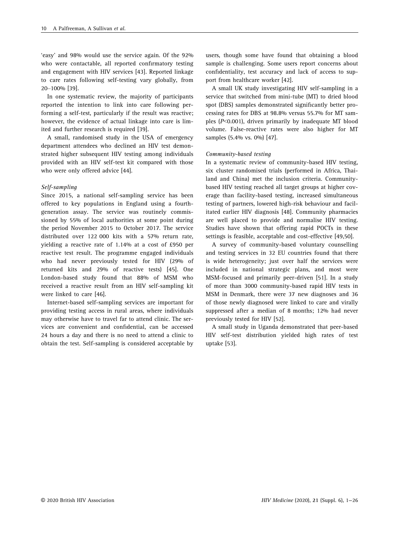'easy' and 98% would use the service again. Of the 92% who were contactable, all reported confirmatory testing and engagement with HIV services [43]. Reported linkage to care rates following self-testing vary globally, from 20–100% [39].

In one systematic review, the majority of participants reported the intention to link into care following performing a self-test, particularly if the result was reactive; however, the evidence of actual linkage into care is limited and further research is required [39].

A small, randomised study in the USA of emergency department attendees who declined an HIV test demonstrated higher subsequent HIV testing among individuals provided with an HIV self-test kit compared with those who were only offered advice [44].

#### Self-sampling

Since 2015, a national self-sampling service has been offered to key populations in England using a fourthgeneration assay. The service was routinely commissioned by 55% of local authorities at some point during the period November 2015 to October 2017. The service distributed over 122 000 kits with a 57% return rate, yielding a reactive rate of 1.14% at a cost of £950 per reactive test result. The programme engaged individuals who had never previously tested for HIV (29% of returned kits and 29% of reactive tests) [45]. One London-based study found that 88% of MSM who received a reactive result from an HIV self-sampling kit were linked to care [46].

Internet-based self-sampling services are important for providing testing access in rural areas, where individuals may otherwise have to travel far to attend clinic. The services are convenient and confidential, can be accessed 24 hours a day and there is no need to attend a clinic to obtain the test. Self-sampling is considered acceptable by

users, though some have found that obtaining a blood sample is challenging. Some users report concerns about confidentiality, test accuracy and lack of access to support from healthcare worker [42].

A small UK study investigating HIV self-sampling in a service that switched from mini-tube (MT) to dried blood spot (DBS) samples demonstrated significantly better processing rates for DBS at 98.8% versus 55.7% for MT samples ( $P \le 0.001$ ), driven primarily by inadequate MT blood volume. False-reactive rates were also higher for MT samples (5.4% vs. 0%) [47].

#### Community-based testing

In a systematic review of community-based HIV testing, six cluster randomised trials (performed in Africa, Thailand and China) met the inclusion criteria. Communitybased HIV testing reached all target groups at higher coverage than facility-based testing, increased simultaneous testing of partners, lowered high-risk behaviour and facilitated earlier HIV diagnosis [48]. Community pharmacies are well placed to provide and normalise HIV testing. Studies have shown that offering rapid POCTs in these settings is feasible, acceptable and cost-effective [49,50].

A survey of community-based voluntary counselling and testing services in 32 EU countries found that there is wide heterogeneity; just over half the services were included in national strategic plans, and most were MSM-focused and primarily peer-driven [51]. In a study of more than 3000 community-based rapid HIV tests in MSM in Denmark, there were 37 new diagnoses and 36 of those newly diagnosed were linked to care and virally suppressed after a median of 8 months; 12% had never previously tested for HIV [52].

A small study in Uganda demonstrated that peer-based HIV self-test distribution yielded high rates of test uptake [53].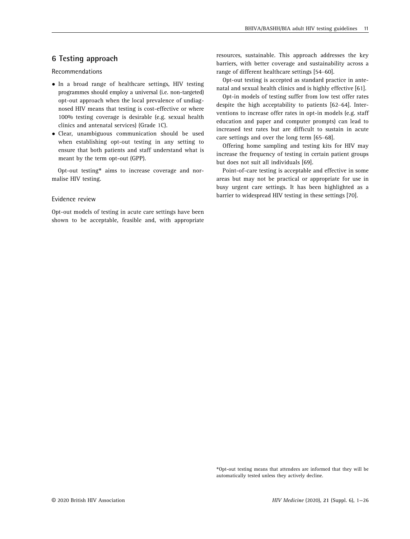### 6 Testing approach

#### Recommendations

- In a broad range of healthcare settings, HIV testing programmes should employ a universal (i.e. non-targeted) opt-out approach when the local prevalence of undiagnosed HIV means that testing is cost-effective or where 100% testing coverage is desirable (e.g. sexual health clinics and antenatal services) (Grade 1C).
- Clear, unambiguous communication should be used when establishing opt-out testing in any setting to ensure that both patients and staff understand what is meant by the term opt-out (GPP).

Opt-out testing\* aims to increase coverage and normalise HIV testing.

#### Evidence review

Opt-out models of testing in acute care settings have been shown to be acceptable, feasible and, with appropriate resources, sustainable. This approach addresses the key barriers, with better coverage and sustainability across a range of different healthcare settings [54–60].

Opt-out testing is accepted as standard practice in antenatal and sexual health clinics and is highly effective [61].

Opt-in models of testing suffer from low test offer rates despite the high acceptability to patients [62–64]. Interventions to increase offer rates in opt-in models (e.g. staff education and paper and computer prompts) can lead to increased test rates but are difficult to sustain in acute care settings and over the long term [65–68].

Offering home sampling and testing kits for HIV may increase the frequency of testing in certain patient groups but does not suit all individuals [69].

Point-of-care testing is acceptable and effective in some areas but may not be practical or appropriate for use in busy urgent care settings. It has been highlighted as a barrier to widespread HIV testing in these settings [70].

\*Opt-out testing means that attendees are informed that they will be automatically tested unless they actively decline.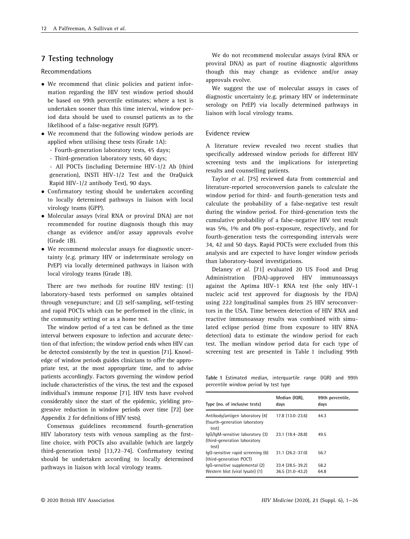### 7 Testing technology

#### Recommendations

- We recommend that clinic policies and patient information regarding the HIV test window period should be based on 99th percentile estimates; where a test is undertaken sooner than this time interval, window period data should be used to counsel patients as to the likelihood of a false-negative result (GPP).
- We recommend that the following window periods are applied when utilising these tests (Grade 1A):
	- ∘ Fourth-generation laboratory tests, 45 days;
	- ∘ Third-generation laboratory tests, 60 days;
	- ∘ All POCTs (including Determine HIV-1/2 Ab (third generation), INSTI HIV-1/2 Test and the OraQuick Rapid HIV-1/2 antibody Test), 90 days.
- Confirmatory testing should be undertaken according to locally determined pathways in liaison with local virology teams (GPP).
- Molecular assays (viral RNA or proviral DNA) are not recommended for routine diagnosis though this may change as evidence and/or assay approvals evolve (Grade 1B).
- We recommend molecular assays for diagnostic uncertainty (e.g. primary HIV or indeterminate serology on PrEP) via locally determined pathways in liaison with local virology teams (Grade 1B).

There are two methods for routine HIV testing: (1) laboratory-based tests performed on samples obtained through venepuncture; and (2) self-sampling, self-testing and rapid POCTs which can be performed in the clinic, in the community setting or as a home test.

The window period of a test can be defined as the time interval between exposure to infection and accurate detection of that infection; the window period ends when HIV can be detected consistently by the test in question [71]. Knowledge of window periods guides clinicians to offer the appropriate test, at the most appropriate time, and to advise patients accordingly. Factors governing the window period include characteristics of the virus, the test and the exposed individual's immune response [71]. HIV tests have evolved considerably since the start of the epidemic, yielding progressive reduction in window periods over time [72] (see Appendix 2 for definitions of HIV tests).

Consensus guidelines recommend fourth-generation HIV laboratory tests with venous sampling as the firstline choice, with POCTs also available (which are largely third-generation tests) [13,72–74]. Confirmatory testing should be undertaken according to locally determined pathways in liaison with local virology teams.

We do not recommend molecular assays (viral RNA or proviral DNA) as part of routine diagnostic algorithms though this may change as evidence and/or assay approvals evolve.

We suggest the use of molecular assays in cases of diagnostic uncertainty (e.g. primary HIV or indeterminate serology on PrEP) via locally determined pathways in liaison with local virology teams.

#### Evidence review

A literature review revealed two recent studies that specifically addressed window periods for different HIV screening tests and the implications for interpreting results and counselling patients.

Taylor et al. [75] reviewed data from commercial and literature-reported seroconversion panels to calculate the window period for third- and fourth-generation tests and calculate the probability of a false-negative test result during the window period. For third-generation tests the cumulative probability of a false-negative HIV test result was 5%, 1% and 0% post-exposure, respectively, and for fourth-generation tests the corresponding intervals were 34, 42 and 50 days. Rapid POCTs were excluded from this analysis and are expected to have longer window periods than laboratory-based investigations.

Delaney et al. [71] evaluated 20 US Food and Drug Administration (FDA)-approved HIV immunoassays against the Aptima HIV-1 RNA test (the only HIV-1 nucleic acid test approved for diagnosis by the FDA) using 222 longitudinal samples from 25 HIV seroconvertors in the USA. Time between detection of HIV RNA and reactive immunoassay results was combined with simulated eclipse period (time from exposure to HIV RNA detection) data to estimate the window period for each test. The median window period data for each type of screening test are presented in Table 1 including 99th

Table 1 Estimated median, interquartile range (IQR) and 99th percentile window period by test type

| Median (IQR).<br>days                 | 99th percentile,<br>days |
|---------------------------------------|--------------------------|
| 17.8 (13.0-23.6)                      | 44.3                     |
| 23.1 (18.4-28.8)                      | 49.5                     |
| $31.1$ $(26.2 - 37.0)$                | 56.7                     |
| $33.4(28.5-39.2)$<br>36.5 (31.0-43.2) | 58.2<br>64.8             |
|                                       |                          |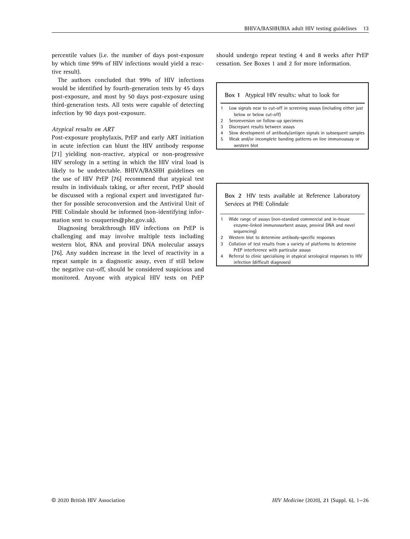percentile values (i.e. the number of days post-exposure by which time 99% of HIV infections would yield a reactive result).

The authors concluded that 99% of HIV infections would be identified by fourth-generation tests by 45 days post-exposure, and most by 50 days post-exposure using third-generation tests. All tests were capable of detecting infection by 90 days post-exposure.

#### Atypical results on ART

Post-exposure prophylaxis, PrEP and early ART initiation in acute infection can blunt the HIV antibody response [71] yielding non-reactive, atypical or non-progressive HIV serology in a setting in which the HIV viral load is likely to be undetectable. BHIVA/BASHH guidelines on the use of HIV PrEP [76] recommend that atypical test results in individuals taking, or after recent, PrEP should be discussed with a regional expert and investigated further for possible seroconversion and the Antiviral Unit of PHE Colindale should be informed (non-identifying information sent to [csuqueries@phe.gov.uk](mailto:csuqueries@phe.gov.uk)).

Diagnosing breakthrough HIV infections on PrEP is challenging and may involve multiple tests including western blot, RNA and proviral DNA molecular assays [76]. Any sudden increase in the level of reactivity in a repeat sample in a diagnostic assay, even if still below the negative cut-off, should be considered suspicious and monitored. Anyone with atypical HIV tests on PrEP should undergo repeat testing 4 and 8 weeks after PrEP cessation. See Boxes 1 and 2 for more information.

#### Box 1 Atypical HIV results: what to look for

- 1 Low signals near to cut-off in screening assays (including either just below or below cut-off)
- 2 Seroreversion on follow-up specimens
- 3 Discrepant results between assays
- 4 Slow development of antibody/antigen signals in subsequent samples
- 5 Weak and/or incomplete banding patterns on line immunoassay or western blot

#### Box 2 HIV tests available at Reference Laboratory Services at PHE Colindale

- 1 Wide range of assays (non-standard commercial and in-house enzyme-linked immunosorbent assays, proviral DNA and novel sequencing)
- 2 Western blot to determine antibody-specific responses
- 3 Collation of test results from a variety of platforms to determine PrEP interference with particular assays
- 4 Referral to clinic specialising in atypical serological responses to HIV infection (difficult diagnoses)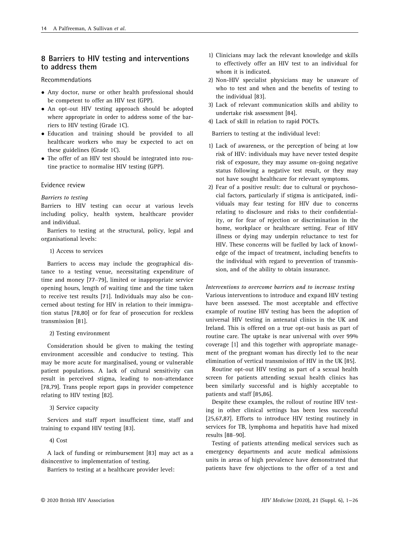### 8 Barriers to HIV testing and interventions to address them

### Recommendations

- Any doctor, nurse or other health professional should be competent to offer an HIV test (GPP).
- An opt-out HIV testing approach should be adopted where appropriate in order to address some of the barriers to HIV testing (Grade 1C).
- Education and training should be provided to all healthcare workers who may be expected to act on these guidelines (Grade 1C).
- The offer of an HIV test should be integrated into routine practice to normalise HIV testing (GPP).

### Evidence review

#### Barriers to testing

Barriers to HIV testing can occur at various levels including policy, health system, healthcare provider and individual.

Barriers to testing at the structural, policy, legal and organisational levels:

#### 1) Access to services

Barriers to access may include the geographical distance to a testing venue, necessitating expenditure of time and money [77–79], limited or inappropriate service opening hours, length of waiting time and the time taken to receive test results [71]. Individuals may also be concerned about testing for HIV in relation to their immigration status [78,80] or for fear of prosecution for reckless transmission [81].

### 2) Testing environment

Consideration should be given to making the testing environment accessible and conducive to testing. This may be more acute for marginalised, young or vulnerable patient populations. A lack of cultural sensitivity can result in perceived stigma, leading to non-attendance [78,79]. Trans people report gaps in provider competence relating to HIV testing [82].

### 3) Service capacity

Services and staff report insufficient time, staff and training to expand HIV testing [83].

### 4) Cost

A lack of funding or reimbursement [83] may act as a disincentive to implementation of testing.

Barriers to testing at a healthcare provider level:

- 1) Clinicians may lack the relevant knowledge and skills to effectively offer an HIV test to an individual for whom it is indicated.
- 2) Non-HIV specialist physicians may be unaware of who to test and when and the benefits of testing to the individual [83].
- 3) Lack of relevant communication skills and ability to undertake risk assessment [84].
- 4) Lack of skill in relation to rapid POCTs.

Barriers to testing at the individual level:

- 1) Lack of awareness, or the perception of being at low risk of HIV: individuals may have never tested despite risk of exposure, they may assume on-going negative status following a negative test result, or they may not have sought healthcare for relevant symptoms.
- 2) Fear of a positive result: due to cultural or psychosocial factors, particularly if stigma is anticipated, individuals may fear testing for HIV due to concerns relating to disclosure and risks to their confidentiality, or for fear of rejection or discrimination in the home, workplace or healthcare setting. Fear of HIV illness or dying may underpin reluctance to test for HIV. These concerns will be fuelled by lack of knowledge of the impact of treatment, including benefits to the individual with regard to prevention of transmission, and of the ability to obtain insurance.

Interventions to overcome barriers and to increase testing Various interventions to introduce and expand HIV testing have been assessed. The most acceptable and effective example of routine HIV testing has been the adoption of universal HIV testing in antenatal clinics in the UK and Ireland. This is offered on a true opt-out basis as part of routine care. The uptake is near universal with over 99% coverage [1] and this together with appropriate management of the pregnant woman has directly led to the near elimination of vertical transmission of HIV in the UK [85].

Routine opt-out HIV testing as part of a sexual health screen for patients attending sexual health clinics has been similarly successful and is highly acceptable to patients and staff [85,86].

Despite these examples, the rollout of routine HIV testing in other clinical settings has been less successful [25,67,87]. Efforts to introduce HIV testing routinely in services for TB, lymphoma and hepatitis have had mixed results [88–90].

Testing of patients attending medical services such as emergency departments and acute medical admissions units in areas of high prevalence have demonstrated that patients have few objections to the offer of a test and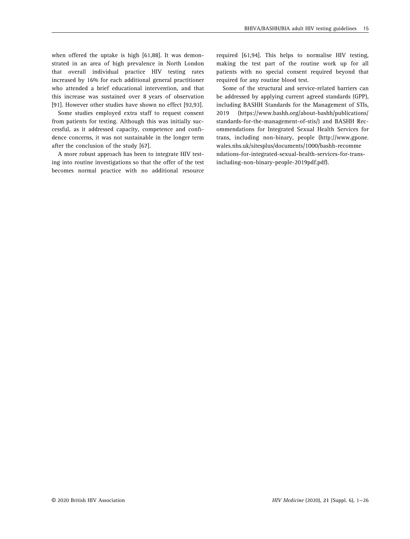when offered the uptake is high [61,88]. It was demonstrated in an area of high prevalence in North London that overall individual practice HIV testing rates increased by 16% for each additional general practitioner who attended a brief educational intervention, and that this increase was sustained over 8 years of observation [91]. However other studies have shown no effect [92,93].

Some studies employed extra staff to request consent from patients for testing. Although this was initially successful, as it addressed capacity, competence and confidence concerns, it was not sustainable in the longer term after the conclusion of the study [67].

A more robust approach has been to integrate HIV testing into routine investigations so that the offer of the test becomes normal practice with no additional resource required [61,94]. This helps to normalise HIV testing, making the test part of the routine work up for all patients with no special consent required beyond that required for any routine blood test.

Some of the structural and service-related barriers can be addressed by applying current agreed standards (GPP), including BASHH Standards for the Management of STIs, 2019 [\(https://www.bashh.org/about-bashh/publications/](https://www.bashh.org/about-bashh/publications/standards-for-the-management-of-stis/) [standards-for-the-management-of-stis/](https://www.bashh.org/about-bashh/publications/standards-for-the-management-of-stis/)) and BASHH Recommendations for Integrated Sexual Health Services for trans, including non-binary, people [\(http://www.gpone.](http://www.gpone.wales.nhs.uk/sitesplus/documents/1000/bashh-recommendations-for-integrated-sexual-health-services-for-trans-including-non-binary-people-2019pdf.pdf) [wales.nhs.uk/sitesplus/documents/1000/bashh-recomme](http://www.gpone.wales.nhs.uk/sitesplus/documents/1000/bashh-recommendations-for-integrated-sexual-health-services-for-trans-including-non-binary-people-2019pdf.pdf) [ndations-for-integrated-sexual-health-services-for-trans](http://www.gpone.wales.nhs.uk/sitesplus/documents/1000/bashh-recommendations-for-integrated-sexual-health-services-for-trans-including-non-binary-people-2019pdf.pdf)[including-non-binary-people-2019pdf.pdf](http://www.gpone.wales.nhs.uk/sitesplus/documents/1000/bashh-recommendations-for-integrated-sexual-health-services-for-trans-including-non-binary-people-2019pdf.pdf)).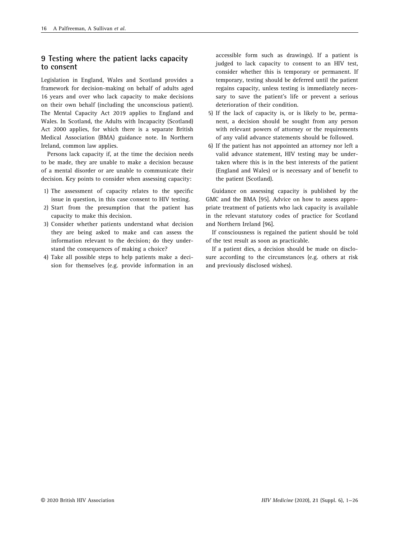### 9 Testing where the patient lacks capacity to consent

Legislation in England, Wales and Scotland provides a framework for decision-making on behalf of adults aged 16 years and over who lack capacity to make decisions on their own behalf (including the unconscious patient). The Mental Capacity Act 2019 applies to England and Wales. In Scotland, the Adults with Incapacity (Scotland) Act 2000 applies, for which there is a separate British Medical Association (BMA) guidance note. In Northern Ireland, common law applies.

Persons lack capacity if, at the time the decision needs to be made, they are unable to make a decision because of a mental disorder or are unable to communicate their decision. Key points to consider when assessing capacity:

- 1) The assessment of capacity relates to the specific issue in question, in this case consent to HIV testing.
- 2) Start from the presumption that the patient has capacity to make this decision.
- 3) Consider whether patients understand what decision they are being asked to make and can assess the information relevant to the decision; do they understand the consequences of making a choice?
- 4) Take all possible steps to help patients make a decision for themselves (e.g. provide information in an

accessible form such as drawings). If a patient is judged to lack capacity to consent to an HIV test, consider whether this is temporary or permanent. If temporary, testing should be deferred until the patient regains capacity, unless testing is immediately necessary to save the patient's life or prevent a serious deterioration of their condition.

- 5) If the lack of capacity is, or is likely to be, permanent, a decision should be sought from any person with relevant powers of attorney or the requirements of any valid advance statements should be followed.
- 6) If the patient has not appointed an attorney nor left a valid advance statement, HIV testing may be undertaken where this is in the best interests of the patient (England and Wales) or is necessary and of benefit to the patient (Scotland).

Guidance on assessing capacity is published by the GMC and the BMA [95]. Advice on how to assess appropriate treatment of patients who lack capacity is available in the relevant statutory codes of practice for Scotland and Northern Ireland [96].

If consciousness is regained the patient should be told of the test result as soon as practicable.

If a patient dies, a decision should be made on disclosure according to the circumstances (e.g. others at risk and previously disclosed wishes).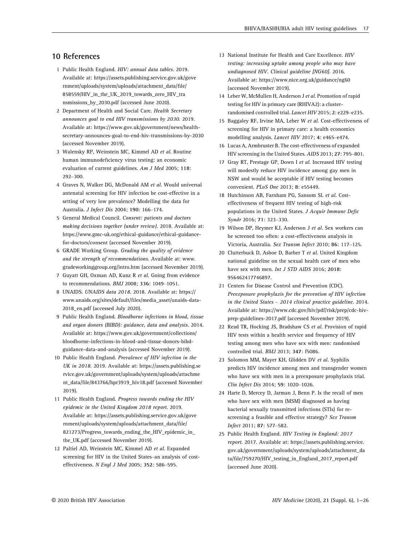### 10 References

- 1 Public Health England. HIV: annual data tables. 2019. Available at: [https://assets.publishing.service.gov.uk/gove](https://assets.publishing.service.gov.uk/government/uploads/system/uploads/attachment_data/file/858559/HIV_in_the_UK_2019_towards_zero_HIV_transmissions_by_2030.pdf) [rnment/uploads/system/uploads/attachment\\_data/file/](https://assets.publishing.service.gov.uk/government/uploads/system/uploads/attachment_data/file/858559/HIV_in_the_UK_2019_towards_zero_HIV_transmissions_by_2030.pdf) 858559/HIV in the UK 2019 towards zero HIV tra [nsmissions\\_by\\_2030.pdf](https://assets.publishing.service.gov.uk/government/uploads/system/uploads/attachment_data/file/858559/HIV_in_the_UK_2019_towards_zero_HIV_transmissions_by_2030.pdf) (accessed June 2020).
- 2 Department of Health and Social Care. Health Secretary announces goal to end HIV transmissions by 2030. 2019. Available at: [https://www.gov.uk/government/news/health](https://www.gov.uk/government/news/health-secretary-announces-goal-to-end-hiv-transmissions-by-2030)[secretary-announces-goal-to-end-hiv-transmissions-by-2030](https://www.gov.uk/government/news/health-secretary-announces-goal-to-end-hiv-transmissions-by-2030) (accessed November 2019).
- 3 Walensky RP, Weinstein MC, Kimmel AD et al. Routine human immunodeficiency virus testing: an economic evaluation of current guidelines. Am J Med 2005; 118: 292–300.
- 4 Graves N, Walker DG, McDonald AM et al. Would universal antenatal screening for HIV infection be cost-effective in a setting of very low prevalence? Modelling the data for Australia. J Infect Dis 2004; 190: 166–174.
- 5 General Medical Council. Consent: patients and doctors making decisions together (under review). 2018. Available at: [https://www.gmc-uk.org/ethical-guidance/ethical-guidance](https://www.gmc-uk.org/ethical-guidance/ethical-guidance-for-doctors/consent)[for-doctors/consent](https://www.gmc-uk.org/ethical-guidance/ethical-guidance-for-doctors/consent) (accessed November 2019).
- 6 GRADE Working Group. Grading the quality of evidence and the strength of recommendations. Available at: [www.](http://www.gradeworkinggroup.org/intro.htm) [gradeworkinggroup.org/intro.htm](http://www.gradeworkinggroup.org/intro.htm) (accessed November 2019).
- 7 Guyatt GH, Oxman AD, Kunz R et al. Going from evidence to recommendations. BMJ 2008; 336: 1049–1051.
- 8 UNAIDS. UNAIDS data 2018. 2018. Available at: [https://](https://www.unaids.org/sites/default/files/media_asset/unaids-data-2018_en.pdf) [www.unaids.org/sites/default/files/media\\_asset/unaids-data-](https://www.unaids.org/sites/default/files/media_asset/unaids-data-2018_en.pdf)[2018\\_en.pdf](https://www.unaids.org/sites/default/files/media_asset/unaids-data-2018_en.pdf) (accessed July 2020).
- 9 Public Health England. Bloodborne infections in blood, tissue and organ donors (BIBD): guidance, data and analysis. 2014. Available at: [https://www.gov.uk/government/collections/](https://www.gov.uk/government/collections/bloodborne-infections-in-blood-and-tissue-donors-bibd-guidance-data-and-analysis) [bloodborne-infections-in-blood-and-tissue-donors-bibd](https://www.gov.uk/government/collections/bloodborne-infections-in-blood-and-tissue-donors-bibd-guidance-data-and-analysis)[guidance-data-and-analysis](https://www.gov.uk/government/collections/bloodborne-infections-in-blood-and-tissue-donors-bibd-guidance-data-and-analysis) (accessed November 2019).
- 10 Public Health England. Prevalence of HIV infection in the UK in 2018. 2019. Available at: [https://assets.publishing.se](https://assets.publishing.service.gov.uk/government/uploads/system/uploads/attachment_data/file/843766/hpr3919_hiv18.pdf) [rvice.gov.uk/government/uploads/system/uploads/attachme](https://assets.publishing.service.gov.uk/government/uploads/system/uploads/attachment_data/file/843766/hpr3919_hiv18.pdf) [nt\\_data/file/843766/hpr3919\\_hiv18.pdf](https://assets.publishing.service.gov.uk/government/uploads/system/uploads/attachment_data/file/843766/hpr3919_hiv18.pdf) (accessed November 2019).
- 11 Public Health England. Progress towards ending the HIV epidemic in the United Kingdom 2018 report. 2019. Available at: [https://assets.publishing.service.gov.uk/gove](https://assets.publishing.service.gov.uk/government/uploads/system/uploads/attachment_data/file/821273/Progress_towards_ending_the_HIV_epidemic_in_the_UK.pdf) [rnment/uploads/system/uploads/attachment\\_data/file/](https://assets.publishing.service.gov.uk/government/uploads/system/uploads/attachment_data/file/821273/Progress_towards_ending_the_HIV_epidemic_in_the_UK.pdf) [821273/Progress\\_towards\\_ending\\_the\\_HIV\\_epidemic\\_in\\_](https://assets.publishing.service.gov.uk/government/uploads/system/uploads/attachment_data/file/821273/Progress_towards_ending_the_HIV_epidemic_in_the_UK.pdf) the UK.pdf (accessed November 2019).
- 12 Paltiel AD, Weinstein MC, Kimmel AD et al. Expanded screening for HIV in the United States–an analysis of costeffectiveness. N Engl J Med 2005; 352: 586–595.
- 13 National Institute for Health and Care Excellence. HIV testing: increasing uptake among people who may have undiagnosed HIV. Clinical guideline [NG60]. 2016. Available at:<https://www.nice.org.uk/guidance/ng60> (accessed November 2019).
- 14 Leber W, McMullen H, Anderson J et al. Promotion of rapid testing for HIV in primary care (RHIVA2): a clusterrandomised controlled trial. Lancet HIV 2015; 2: e229–e235.
- 15 Baggaley RF, Irvine MA, Leber W et al. Cost-effectiveness of screening for HIV in primary care: a health economics modelling analysis. Lancet HIV 2017; 4: e465–e474.
- 16 Lucas A, Armbruster B. The cost-effectiveness of expanded HIV screening in the United States. AIDS 2013; 27: 795–801.
- 17 Gray RT, Prestage GP, Down I et al. Increased HIV testing will modestly reduce HIV incidence among gay men in NSW and would be acceptable if HIV testing becomes convenient. PLoS One 2013; 8: e55449.
- 18 Hutchinson AB, Farnham PG, Sansom SL et al. Costeffectiveness of frequent HIV testing of high-risk populations in the United States. J Acquir Immune Defic Syndr 2016; 71: 323–330.
- 19 Wilson DP, Heymer KJ, Anderson J et al. Sex workers can be screened too often: a cost-effectiveness analysis in Victoria, Australia. Sex Transm Infect 2010; 86: 117–125.
- 20 Clutterbuck D, Asboe D, Barber T et al. United Kingdom national guideline on the sexual health care of men who have sex with men. Int J STD AIDS 2016; 2018: 956462417746897.
- 21 Centers for Disease Control and Prevention (CDC). Preexposure prophylaxis for the prevention of HIV infection in the United States – 2014 clinical practice guideline. 2014. Available at: [https://www.cdc.gov/hiv/pdf/risk/prep/cdc-hiv](https://www.cdc.gov/hiv/pdf/risk/prep/cdc-hiv-prep-guidelines-2017.pdf)[prep-guidelines-2017.pdf](https://www.cdc.gov/hiv/pdf/risk/prep/cdc-hiv-prep-guidelines-2017.pdf) (accessed November 2019).
- 22 Read TR, Hocking JS, Bradshaw CS et al. Provision of rapid HIV tests within a health service and frequency of HIV testing among men who have sex with men: randomised controlled trial. BMJ 2013; 347: f5086.
- 23 Solomon MM, Mayer KH, Glidden DV et al. Syphilis predicts HIV incidence among men and transgender women who have sex with men in a preexposure prophylaxis trial. Clin Infect Dis 2014; 59: 1020–1026.
- 24 Harte D, Mercey D, Jarman J, Benn P. Is the recall of men who have sex with men (MSM) diagnosed as having bacterial sexually transmitted infections (STIs) for rescreening a feasible and effective strategy? Sex Transm Infect 2011; 87: 577–582.
- 25 Public Health England. HIV Testing in England: 2017 report. 2017. Available at: [https://assets.publishing.service.](https://assets.publishing.service.gov.uk/government/uploads/system/uploads/attachment_data/file/759270/HIV_testing_in_England_2017_report.pdf) [gov.uk/government/uploads/system/uploads/attachment\\_da](https://assets.publishing.service.gov.uk/government/uploads/system/uploads/attachment_data/file/759270/HIV_testing_in_England_2017_report.pdf) [ta/file/759270/HIV\\_testing\\_in\\_England\\_2017\\_report.pdf](https://assets.publishing.service.gov.uk/government/uploads/system/uploads/attachment_data/file/759270/HIV_testing_in_England_2017_report.pdf) (accessed June 2020).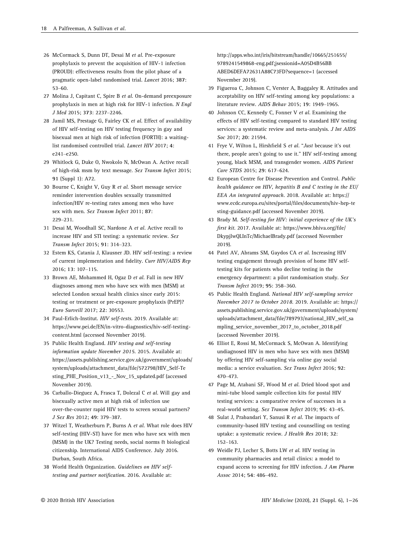- 26 McCormack S, Dunn DT, Desai M et al. Pre-exposure prophylaxis to prevent the acquisition of HIV-1 infection (PROUD): effectiveness results from the pilot phase of a pragmatic open-label randomised trial. Lancet 2016; 387: 53–60.
- 27 Molina J, Capitant C, Spire B et al. On-demand preexposure prophylaxis in men at high risk for HIV-1 infection. N Engl J Med 2015; 373: 2237–2246.
- 28 Jamil MS, Prestage G, Fairley CK et al. Effect of availability of HIV self-testing on HIV testing frequency in gay and bisexual men at high risk of infection (FORTH): a waitinglist randomised controlled trial. Lancet HIV 2017; 4: e241–e250.
- 29 Whitlock G, Duke O, Nwokolo N, McOwan A. Active recall of high-risk msm by text message. Sex Transm Infect 2015; 91 (Suppl 1): A72.
- 30 Bourne C, Knight V, Guy R et al. Short message service reminder intervention doubles sexually transmitted infection/HIV re-testing rates among men who have sex with men. Sex Transm Infect 2011; 87: 229–231.
- 31 Desai M, Woodhall SC, Nardone A et al. Active recall to increase HIV and STI testing: a systematic review. Sex Transm Infect 2015; 91: 314–323.
- 32 Estem KS, Catania J, Klausner JD. HIV self-testing: a review of current implementation and fidelity. Curr HIV/AIDS Rep 2016; 13: 107–115.
- 33 Brown AE, Mohammed H, Ogaz D et al. Fall in new HIV diagnoses among men who have sex with men (MSM) at selected London sexual health clinics since early 2015: testing or treatment or pre-exposure prophylaxis (PrEP)? Euro Surveill 2017; 22: 30553.
- 34 Paul-Erlich-Institut. HIV self-tests. 2019. Available at: [https://www.pei.de/EN/in-vitro-diagnostics/hiv-self-testing](https://www.pei.de/EN/in-vitro-diagnostics/hiv-self-testing-content.html)[content.html](https://www.pei.de/EN/in-vitro-diagnostics/hiv-self-testing-content.html) (accessed November 2019).
- 35 Public Health England. HIV testing and self-testing information update November 2015. 2015. Available at: [https://assets.publishing.service.gov.uk/government/uploads/](https://assets.publishing.service.gov.uk/government/uploads/system/uploads/attachment_data/file/572798/HIV_Self-Testing_PHE_Position_v13_-_Nov_15_updated.pdf) [system/uploads/attachment\\_data/file/572798/HIV\\_Self-Te](https://assets.publishing.service.gov.uk/government/uploads/system/uploads/attachment_data/file/572798/HIV_Self-Testing_PHE_Position_v13_-_Nov_15_updated.pdf) [sting\\_PHE\\_Position\\_v13\\_-\\_Nov\\_15\\_updated.pdf](https://assets.publishing.service.gov.uk/government/uploads/system/uploads/attachment_data/file/572798/HIV_Self-Testing_PHE_Position_v13_-_Nov_15_updated.pdf) (accessed November 2019).
- 36 Carballo-Dieguez A, Frasca T, Dolezal C et al. Will gay and bisexually active men at high risk of infection use over-the-counter rapid HIV tests to screen sexual partners? J Sex Res 2012; 49: 379–387.
- 37 Witzel T, Weatherburn P, Burns A et al. What role does HIV self-testing (HIV-ST) have for men who have sex with men (MSM) in the UK? Testing needs, social norms & biological citizenship. International AIDS Conference. July 2016. Durban, South Africa.
- 38 World Health Organization. Guidelines on HIV selftesting and partner notification. 2016. Available at:

[http://apps.who.int/iris/bitstream/handle/10665/251655/](http://apps.who.int/iris/bitstream/handle/10665/251655/9789241549868-eng.pdf;jsessionid=A05D4B56BBABED6DEFA72631A88C73FD?sequence=1) [9789241549868-eng.pdf;jsessionid=A05D4B56BB](http://apps.who.int/iris/bitstream/handle/10665/251655/9789241549868-eng.pdf;jsessionid=A05D4B56BBABED6DEFA72631A88C73FD?sequence=1) [ABED6DEFA72631A88C73FD?sequence=1](http://apps.who.int/iris/bitstream/handle/10665/251655/9789241549868-eng.pdf;jsessionid=A05D4B56BBABED6DEFA72631A88C73FD?sequence=1) (accessed November 2019).

- 39 Figueroa C, Johnson C, Verster A, Baggaley R. Attitudes and acceptability on HIV self-testing among key populations: a literature review. AIDS Behav 2015; 19: 1949–1965.
- 40 Johnson CC, Kennedy C, Fonner V et al. Examining the effects of HIV self-testing compared to standard HIV testing services: a systematic review and meta-analysis. J Int AIDS Soc 2017; 20: 21594.
- 41 Frye V, Wilton L, Hirshfield S et al. "Just because it's out there, people aren't going to use it." HIV self-testing among young, black MSM, and transgender women. AIDS Patient Care STDS 2015; 29: 617–624.
- 42 European Centre for Disease Prevention and Control. Public health guidance on HIV, hepatitis B and C testing in the EU/ EEA An integrated approach. 2018. Available at: [https://](https://www.ecdc.europa.eu/sites/portal/files/documents/hiv-hep-testing-guidance.pdf) [www.ecdc.europa.eu/sites/portal/files/documents/hiv-hep-te](https://www.ecdc.europa.eu/sites/portal/files/documents/hiv-hep-testing-guidance.pdf) [sting-guidance.pdf](https://www.ecdc.europa.eu/sites/portal/files/documents/hiv-hep-testing-guidance.pdf) (accessed November 2019).
- 43 Brady M. Self-testing for HIV: initial experience of the UK's first kit. 2017. Available at: [https://www.bhiva.org/file/](https://www.bhiva.org/file/DkypjlwQLInTc/MichaelBrady.pdf) [DkypjlwQLInTc/MichaelBrady.pdf](https://www.bhiva.org/file/DkypjlwQLInTc/MichaelBrady.pdf) (accessed November 2019).
- 44 Patel AV, Abrams SM, Gaydos CA et al. Increasing HIV testing engagement through provision of home HIV selftesting kits for patients who decline testing in the emergency department: a pilot randomisation study. Sex Transm Infect 2019; 95: 358–360.
- 45 Public Health England. National HIV self-sampling service November 2017 to October 2018. 2019. Available at: [https://](https://assets.publishing.service.gov.uk/government/uploads/system/uploads/attachment_data/file/789793/national_HIV_self_sampling_service_november_2017_to_october_2018.pdf) [assets.publishing.service.gov.uk/government/uploads/system/](https://assets.publishing.service.gov.uk/government/uploads/system/uploads/attachment_data/file/789793/national_HIV_self_sampling_service_november_2017_to_october_2018.pdf) [uploads/attachment\\_data/file/789793/national\\_HIV\\_self\\_sa](https://assets.publishing.service.gov.uk/government/uploads/system/uploads/attachment_data/file/789793/national_HIV_self_sampling_service_november_2017_to_october_2018.pdf) [mpling\\_service\\_november\\_2017\\_to\\_october\\_2018.pdf](https://assets.publishing.service.gov.uk/government/uploads/system/uploads/attachment_data/file/789793/national_HIV_self_sampling_service_november_2017_to_october_2018.pdf) (accessed November 2019).
- 46 Elliot E, Rossi M, McCormack S, McOwan A. Identifying undiagnosed HIV in men who have sex with men (MSM) by offering HIV self-sampling via online gay social media: a service evaluation. Sex Trans Infect 2016; 92: 470–473.
- 47 Page M, Atabani SF, Wood M et al. Dried blood spot and mini-tube blood sample collection kits for postal HIV testing services: a comparative review of successes in a real-world setting. Sex Transm Infect 2019; 95: 43–45.
- 48 Sulat J, Prabandari Y, Sanusi R et al. The impacts of community-based HIV testing and counselling on testing uptake: a systematic review. J Health Res 2018; 32: 152–163.
- 49 Weidle PJ, Lecher S, Botts LW et al. HIV testing in community pharmacies and retail clinics: a model to expand access to screening for HIV infection. J Am Pharm Assoc 2014; 54: 486–492.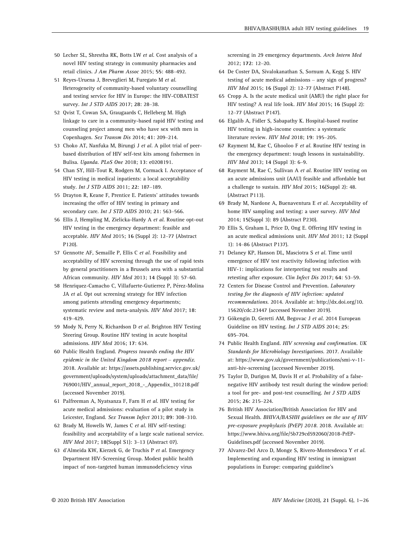- 50 Lecher SL, Shrestha RK, Botts LW et al. Cost analysis of a novel HIV testing strategy in community pharmacies and retail clinics. J Am Pharm Assoc 2015; 55: 488–492.
- 51 Reyes-Uruena J, Breveglieri M, Furegato M et al. Heterogeneity of community-based voluntary counselling and testing service for HIV in Europe: the HIV-COBATEST survey. Int J STD AIDS 2017; 28: 28–38.
- 52 Qvist T, Cowan SA, Graugaards C, Helleberg M. High linkage to care in a community-based rapid HIV testing and counseling project among men who have sex with men in Copenhagen. Sex Transm Dis 2014; 41: 209–214.
- 53 Choko AT, Nanfuka M, Birungi J et al. A pilot trial of peerbased distribution of HIV self-test kits among fishermen in Bulisa. Uganda. PLoS One 2018; 13: e0208191.
- 54 Chan SY, Hill-Tout R, Rodgers M, Cormack I. Acceptance of HIV testing in medical inpatients: a local acceptability study. Int J STD AIDS 2011; 22: 187–189.
- 55 Drayton R, Keane F, Prentice E. Patients' attitudes towards increasing the offer of HIV testing in primary and secondary care. Int J STD AIDS 2010; 21: 563–566.
- 56 Ellis J, Hempling M, Zielicka-Hardy A et al. Routine opt-out HIV testing in the emergency department: feasible and acceptable. HIV Med 2015; 16 (Suppl 2): 12–77 (Abstract P120).
- 57 Gennotte AF, Semaille P, Ellis C et al. Feasibility and acceptability of HIV screening through the use of rapid tests by general practitioners in a Brussels area with a substantial African community. HIV Med 2013; 14 (Suppl 3): 57–60.
- 58 Henriquez-Camacho C, Villafuerte-Gutierrez P, Pérez-Molina JA et al. Opt out screening strategy for HIV infection among patients attending emergency departments; systematic review and meta-analysis. HIV Med 2017; 18: 419–429.
- 59 Mody N, Perry N, Richardson D et al. Brighton HIV Testing Steering Group. Routine HIV testing in acute hospital admissions. HIV Med 2016; 17: 634.
- 60 Public Health England. Progress towards ending the HIV epidemic in the United Kingdom 2018 report – appendix. 2018. Available at: [https://assets.publishing.service.gov.uk/](https://assets.publishing.service.gov.uk/government/uploads/system/uploads/attachment_data/file/769001/HIV_annual_report_2018_-_Appendix_101218.pdf) [government/uploads/system/uploads/attachment\\_data/file/](https://assets.publishing.service.gov.uk/government/uploads/system/uploads/attachment_data/file/769001/HIV_annual_report_2018_-_Appendix_101218.pdf) [769001/HIV\\_annual\\_report\\_2018\\_-\\_Appendix\\_101218.pdf](https://assets.publishing.service.gov.uk/government/uploads/system/uploads/attachment_data/file/769001/HIV_annual_report_2018_-_Appendix_101218.pdf) (accessed November 2019).
- 61 Palfreeman A, Nyatsanza F, Farn H et al. HIV testing for acute medical admissions: evaluation of a pilot study in Leicester, England. Sex Transm Infect 2013; 89: 308–310.
- 62 Brady M, Howells W, James C et al. HIV self-testing: feasibility and acceptability of a large scale national service. HIV Med 2017; 18(Suppl S1): 3–13 (Abstract 07).
- 63 d'Almeida KW, Kierzek G, de Truchis P et al. Emergency Department HIV-Screening Group. Modest public health impact of non-targeted human immunodeficiency virus

screening in 29 emergency departments. Arch Intern Med 2012; 172: 12–20.

- 64 De Coster DA, Sivalokanathan S, Sornum A, Kegg S. HIV testing of acute medical admissions – any sign of progress? HIV Med 2015; 16 (Suppl 2): 12–77 (Abstract P148).
- 65 Cropp A. Is the acute medical unit (AMU) the right place for HIV testing? A real life look. HIV Med 2015; 16 (Suppl 2): 12–77 (Abstract P147).
- 66 Elgalib A, Fidler S, Sabapathy K. Hospital-based routine HIV testing in high-income countries: a systematic literature review. HIV Med 2018; 19: 195–205.
- 67 Rayment M, Rae C, Ghooloo F et al. Routine HIV testing in the emergency department: tough lessons in sustainability. HIV Med 2013; 14 (Suppl 3): 6–9.
- 68 Rayment M, Rae C, Sullivan A et al. Routine HIV testing on an acute admissions unit (AAU) feasible and affordable but a challenge to sustain. HIV Med 2015; 16(Suppl 2): 48. (Abstract P113).
- 69 Brady M, Nardone A, Buenaventura E et al. Acceptability of home HIV sampling and testing: a user survey. HIV Med 2014; 15(Suppl 3): 89 (Abstract P230).
- 70 Ellis S, Graham L, Price D, Ong E. Offering HIV testing in an acute medical admissions unit. HIV Med 2011; 12 (Suppl 1): 14–86 (Abstract P137).
- 71 Delaney KP, Hanson DL, Masciotra S et al. Time until emergence of HIV test reactivity following infection with HIV-1: implications for interpreting test results and retesting after exposure. Clin Infect Dis 2017; 64: 53–59.
- 72 Centers for Disease Control and Prevention. Laboratory testing for the diagnosis of HIV infection: updated recommendations. 2014. Available at: [http://dx.doi.org/10.](http://dx.doi.org/10.15620/cdc.23447) [15620/cdc.23447](http://dx.doi.org/10.15620/cdc.23447) (accessed November 2019).
- 73 Gökengin D, Geretti AM, Begovac J et al. 2014 European Guideline on HIV testing. Int J STD AIDS 2014; 25: 695–704.
- 74 Public Health England. HIV screening and confirmation. UK Standards for Microbiology Investigations. 2017. Available at: [https://www.gov.uk/government/publications/smi-v-11](https://www.gov.uk/government/publications/smi-v-11-anti-hiv-screening) [anti-hiv-screening](https://www.gov.uk/government/publications/smi-v-11-anti-hiv-screening) (accessed November 2019).
- 75 Taylor D, Durigon M, Davis H et al. Probability of a falsenegative HIV antibody test result during the window period: a tool for pre- and post-test counselling. Int J STD AIDS 2015; 26: 215–224.
- 76 British HIV Association/British Association for HIV and Sexual Health. BHIVA/BASHH guidelines on the use of HIV pre-exposure prophylaxis (PrEP) 2018. 2018. Available at: [https://www.bhiva.org/file/5b729cd592060/2018-PrEP-](https://www.bhiva.org/file/5b729cd592060/2018-PrEP-Guidelines.pdf)[Guidelines.pdf](https://www.bhiva.org/file/5b729cd592060/2018-PrEP-Guidelines.pdf) (accessed November 2019).
- 77 Alvarez-Del Arco D, Monge S, Rivero-Montesdeoca Y et al. Implementing and expanding HIV testing in immigrant populations in Europe: comparing guideline's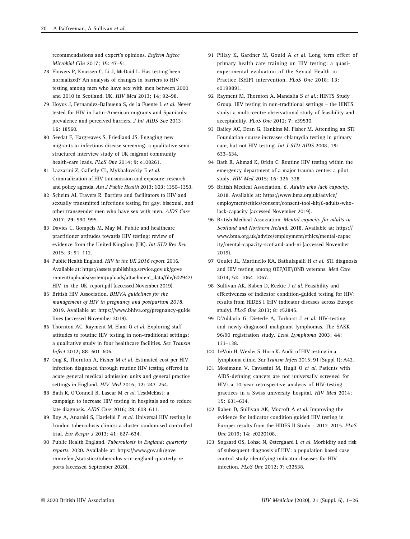recommendations and expert's opinions. Enferm Infecc Microbiol Clin 2017; 35: 47–51.

- 78 Flowers P, Knussen C, Li J, McDaid L. Has testing been normalized? An analysis of changes in barriers to HIV testing among men who have sex with men between 2000 and 2010 in Scotland, UK. HIV Med 2013; 14: 92–98.
- 79 Hoyos J, Fernandez-Balbuena S, de la Fuente L et al. Never tested for HIV in Latin-American migrants and Spaniards: prevalence and perceived barriers. J Int AIDS Soc 2013; 16: 18560.
- 80 Seedat F, Hargreaves S, Friedland JS. Engaging new migrants in infectious disease screening: a qualitative semistructured interview study of UK migrant community health-care leads. PLoS One 2014; 9: e108261.
- 81 Lazzarini Z, Galletly CL, Mykhalovskiy E et al. Criminalization of HIV transmission and exposure: research and policy agenda. Am J Public Health 2013; 103: 1350–1353.
- 82 Scheim AI, Travers R. Barriers and facilitators to HIV and sexually transmitted infections testing for gay, bisexual, and other transgender men who have sex with men. AIDS Care 2017; 29: 990–995.
- 83 Davies C, Gompels M, May M. Public and healthcare practitioner attitudes towards HIV testing: review of evidence from the United Kingdom (UK). Int STD Res Rev 2015; 3: 91–112.
- 84 Public Health England. HIV in the UK 2016 report. 2016. Available at: [https://assets.publishing.service.gov.uk/gove](https://assets.publishing.service.gov.uk/government/uploads/system/uploads/attachment_data/file/602942/HIV_in_the_UK_report.pdf) [rnment/uploads/system/uploads/attachment\\_data/file/602942/](https://assets.publishing.service.gov.uk/government/uploads/system/uploads/attachment_data/file/602942/HIV_in_the_UK_report.pdf) [HIV\\_in\\_the\\_UK\\_report.pdf](https://assets.publishing.service.gov.uk/government/uploads/system/uploads/attachment_data/file/602942/HIV_in_the_UK_report.pdf) (accessed November 2019).
- 85 British HIV Association. BHIVA guidelines for the management of HIV in pregnancy and postpartum 2018. 2019. Available at: [https://www.bhiva.org/pregnancy-guide](https://www.bhiva.org/pregnancy-guidelines) [lines](https://www.bhiva.org/pregnancy-guidelines) (accessed November 2019).
- 86 Thornton AC, Rayment M, Elam G et al. Exploring staff attitudes to routine HIV testing in non-traditional settings: a qualitative study in four healthcare facilities. Sex Transm Infect 2012; 88: 601–606.
- 87 Ong K, Thornton A, Fisher M et al. Estimated cost per HIV infection diagnosed through routine HIV testing offered in acute general medical admission units and general practice settings in England. HIV Med 2016; 17: 247–254.
- 88 Bath R, O'Connell R, Lascar M et al. TestMeEast: a campaign to increase HIV testing in hospitals and to reduce late diagnosis. AIDS Care 2016; 28: 608–611.
- 89 Roy A, Anaraki S, Hardelid P et al. Universal HIV testing in London tuberculosis clinics: a cluster randomised controlled trial. Eur Respir J 2013; 41: 627–634.
- 90 Public Health England. Tuberculosis in England: quarterly reports. 2020. Available at: [https://www.gov.uk/gove](https://www.gov.uk/governmrefent/statistics/tuberculosis-in-england-quarterly-reports) [rnmrefent/statistics/tuberculosis-in-england-quarterly-re](https://www.gov.uk/governmrefent/statistics/tuberculosis-in-england-quarterly-reports) [ports](https://www.gov.uk/governmrefent/statistics/tuberculosis-in-england-quarterly-reports) (accessed September 2020).
- 91 Pillay K, Gardner M, Gould A et al. Long term effect of primary health care training on HIV testing: a quasiexperimental evaluation of the Sexual Health in Practice (SHIP) intervention. PLoS One 2018; 13: e0199891.
- 92 Rayment M, Thornton A, Mandalia S et al.; HINTS Study Group. HIV testing in non-traditional settings – the HINTS study: a multi-centre observational study of feasibility and acceptability. PLoS One 2012; 7: e39530.
- 93 Bailey AC, Dean G, Hankins M, Fisher M. Attending an STI Foundation course increases chlamydia testing in primary care, but not HIV testing. Int J STD AIDS 2008; 19: 633–634.
- 94 Bath R, Ahmad K, Orkin C. Routine HIV testing within the emergency department of a major trauma centre: a pilot study. HIV Med 2015; 16: 326–328.
- 95 British Medical Association. 6. Adults who lack capacity. 2018. Available at: [https://www.bma.org.uk/advice/](https://www.bma.org.uk/advice/employment/ethics/consent/consent-tool-kit/6-adults-who-lack-capacity) [employment/ethics/consent/consent-tool-kit/6-adults-who](https://www.bma.org.uk/advice/employment/ethics/consent/consent-tool-kit/6-adults-who-lack-capacity)[lack-capacity](https://www.bma.org.uk/advice/employment/ethics/consent/consent-tool-kit/6-adults-who-lack-capacity) (accessed November 2019).
- 96 British Medical Association. Mental capacity for adults in Scotland and Northern Ireland. 2018. Available at: [https://](https://www.bma.org.uk/advice/employment/ethics/mental-capacity/mental-capacity-scotland-and-ni) [www.bma.org.uk/advice/employment/ethics/mental-capac](https://www.bma.org.uk/advice/employment/ethics/mental-capacity/mental-capacity-scotland-and-ni) [ity/mental-capacity-scotland-and-ni](https://www.bma.org.uk/advice/employment/ethics/mental-capacity/mental-capacity-scotland-and-ni) (accessed November 2019).
- 97 Goulet JL, Martinello RA, Bathulapalli H et al. STI diagnosis and HIV testing among OEF/OIF/OND veterans. Med Care 2014; 52: 1064–1067.
- 98 Sullivan AK, Raben D, Reekie J et al. Feasibility and effectiveness of indicator condition-guided testing for HIV: results from HIDES I (HIV indicator diseases across Europe study). PLoS One 2013; 8: e52845.
- 99 D'Addario G, Dieterle A, Torhorst J et al. HIV-testing and newly-diagnosed malignant lymphomas. The SAKK 96/90 registration study. Leuk Lymphoma 2003; 44: 133–138.
- 100 LeVoir H, Wexler S, Horn K. Audit of HIV testing in a lymphoma clinic. Sex Transm Infect 2015; 91 (Suppl 1): A42.
- 101 Mosimann V, Cavassini M, Hugli O et al. Patients with AIDS-defining cancers are not universally screened for HIV: a 10-year retrospective analysis of HIV-testing practices in a Swiss university hospital. HIV Med 2014; 15: 631–634.
- 102 Raben D, Sullivan AK, Mocroft A et al. Improving the evidence for indicator condition guided HIV testing in Europe: results from the HIDES II Study - 2012–2015. PLoS One 2019; 14: e0220108.
- 103 Søgaard OS, Lohse N, Østergaard L et al. Morbidity and risk of subsequent diagnosis of HIV: a population based case control study identifying indicator diseases for HIV infection. PLoS One 2012; 7: e32538.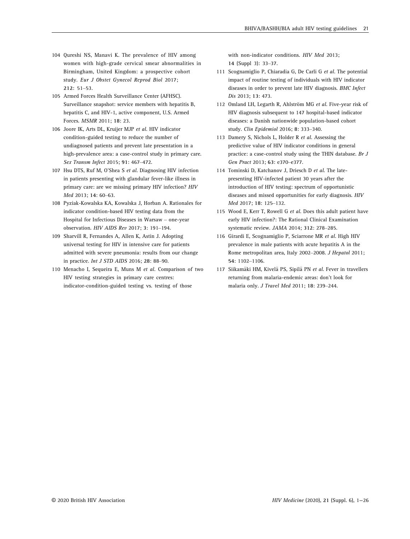- 104 Qureshi NS, Manavi K. The prevalence of HIV among women with high-grade cervical smear abnormalities in Birmingham, United Kingdom: a prospective cohort study. Eur J Obstet Gynecol Reprod Biol 2017; 212: 51–53.
- 105 Armed Forces Health Surveillance Center (AFHSC). Surveillance snapshot: service members with hepatitis B, hepatitis C, and HIV-1, active component, U.S. Armed Forces. MSMR 2011; 18: 23.
- 106 Joore IK, Arts DL, Kruijer MJP et al. HIV indicator condition-guided testing to reduce the number of undiagnosed patients and prevent late presentation in a high-prevalence area: a case-control study in primary care. Sex Transm Infect 2015; 91: 467–472.
- 107 Hsu DTS, Ruf M, O'Shea S et al. Diagnosing HIV infection in patients presenting with glandular fever-like illness in primary care: are we missing primary HIV infection? HIV Med 2013; 14: 60–63.
- 108 Pyziak-Kowalska KA, Kowalska J, Horban A. Rationales for indicator condition-based HIV testing data from the Hospital for Infectious Diseases in Warsaw – one-year observation. HIV AIDS Rev 2017; 3: 191–194.
- 109 Sharvill R, Fernandes A, Allen K, Astin J. Adopting universal testing for HIV in intensive care for patients admitted with severe pneumonia: results from our change in practice. Int J STD AIDS 2016; 28: 88–90.
- 110 Menacho I, Sequeira E, Muns M et al. Comparison of two HIV testing strategies in primary care centres: indicator-condition-guided testing vs. testing of those

with non-indicator conditions. HIV Med 2013; 14 (Suppl 3): 33–37.

- 111 Scognamiglio P, Chiaradia G, De Carli G et al. The potential impact of routine testing of individuals with HIV indicator diseases in order to prevent late HIV diagnosis. BMC Infect Dis 2013; 13: 473.
- 112 Omland LH, Legarth R, Ahlström MG et al. Five-year risk of HIV diagnosis subsequent to 147 hospital-based indicator diseases: a Danish nationwide population-based cohort study. Clin Epidemiol 2016; 8: 333–340.
- 113 Damery S, Nichols L, Holder R et al. Assessing the predictive value of HIV indicator conditions in general practice: a case-control study using the THIN database. Br J Gen Pract 2013; 63: e370–e377.
- 114 Tominski D, Katchanov J, Driesch D et al. The latepresenting HIV-infected patient 30 years after the introduction of HIV testing: spectrum of opportunistic diseases and missed opportunities for early diagnosis. HIV Med 2017; 18: 125–132.
- 115 Wood E, Kerr T, Rowell G et al. Does this adult patient have early HIV infection?: The Rational Clinical Examination systematic review. JAMA 2014; 312: 278–285.
- 116 Girardi E, Scognamiglio P, Sciarrone MR et al. High HIV prevalence in male patients with acute hepatitis A in the Rome metropolitan area, Italy 2002–2008. J Hepatol 2011; 54: 1102–1106.
- 117 Siikamäki HM, Kivelä PS, Sipilä PN et al. Fever in travellers returning from malaria-endemic areas: don't look for malaria only. J Travel Med 2011; 18: 239–244.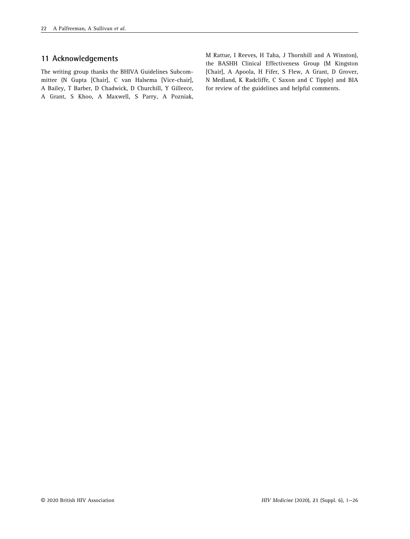### 11 Acknowledgements

The writing group thanks the BHIVA Guidelines Subcommittee (N Gupta [Chair], C van Halsema [Vice-chair], A Bailey, T Barber, D Chadwick, D Churchill, Y Gilleece, A Grant, S Khoo, A Maxwell, S Parry, A Pozniak, M Rattue, I Reeves, H Taha, J Thornhill and A Winston), the BASHH Clinical Effectiveness Group (M Kingston [Chair], A Apoola, H Fifer, S Flew, A Grant, D Grover, N Medland, K Radcliffe, C Saxon and C Tipple) and BIA for review of the guidelines and helpful comments.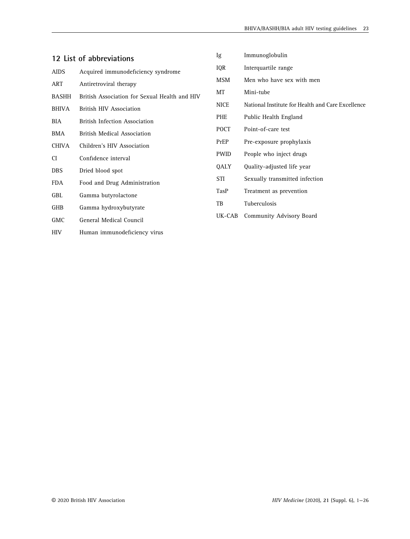|              | 12 List of abbreviations                      | 1g          | Immunoglobulin                                    |
|--------------|-----------------------------------------------|-------------|---------------------------------------------------|
| <b>AIDS</b>  | Acquired immunodeficiency syndrome            | IQR         | Interquartile range                               |
| ART          | Antiretroviral therapy                        | MSM         | Men who have sex with men                         |
| BASHH        | British Association for Sexual Health and HIV | MT          | Mini-tube                                         |
| BHIVA        | <b>British HIV Association</b>                | <b>NICE</b> | National Institute for Health and Care Excellence |
| BIA          | <b>British Infection Association</b>          | PHE         | Public Health England                             |
| BMA          | <b>British Medical Association</b>            | <b>POCT</b> | Point-of-care test                                |
| <b>CHIVA</b> | Children's HIV Association                    | PrEP        | Pre-exposure prophylaxis                          |
| CI.          | Confidence interval                           | <b>PWID</b> | People who inject drugs                           |
| <b>DBS</b>   | Dried blood spot                              | QALY        | Quality-adjusted life year                        |
| <b>FDA</b>   | Food and Drug Administration                  | STI         | Sexually transmitted infection                    |
| GBL          | Gamma butyrolactone                           | TasP        | Treatment as prevention                           |
| GHB          | Gamma hydroxybutyrate                         | TB          | Tuberculosis                                      |
| GMC          | General Medical Council                       | UK-CAB      | Community Advisory Board                          |
| <b>HIV</b>   | Human immunodeficiency virus                  |             |                                                   |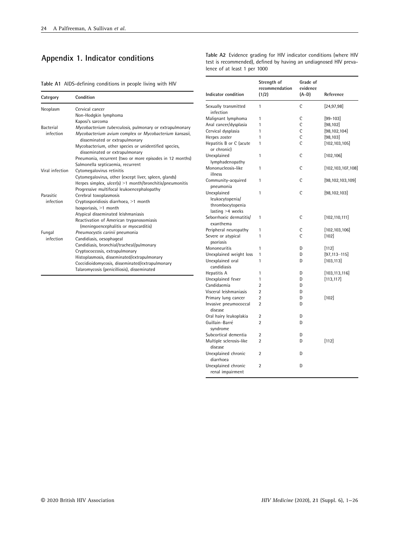Table A1 AIDS-defining conditions in people living with HIV

| Category               | Condition                                                                                                                                                                                                                                                                                                                      | Indicator                                                                                     |
|------------------------|--------------------------------------------------------------------------------------------------------------------------------------------------------------------------------------------------------------------------------------------------------------------------------------------------------------------------------|-----------------------------------------------------------------------------------------------|
| Neoplasm               | Cervical cancer<br>Non-Hodgkin lymphoma                                                                                                                                                                                                                                                                                        | Sexually<br>infectio<br>Malignan                                                              |
| Bacterial<br>infection | Kaposi's sarcoma<br>Mycobacterium tuberculosis, pulmonary or extrapulmonary<br>Mycobacterium avium complex or Mycobacterium kansasii,<br>disseminated or extrapulmonary<br>Mycobacterium, other species or unidentified species,<br>disseminated or extrapulmonary<br>Pneumonia, recurrent (two or more episodes in 12 months) | Anal cand<br>Cervical o<br>Herpes zo<br>Hepatitis<br>or chro<br>Unexplair<br>lympha           |
| Viral infection        | Salmonella septicaemia, recurrent<br>Cytomegalovirus retinitis<br>Cytomegalovirus, other (except liver, spleen, glands)<br>Herpes simplex, $ulcer(s) > 1$ month/bronchitis/pneumonitis<br>Progressive multifocal leukoencephalopathy                                                                                           | Mononuc<br>illness<br>Communi<br>pneum                                                        |
| Parasitic<br>infection | Cerebral toxoplasmosis<br>Cryptosporidiosis diarrhoea, >1 month<br>Isosporiasis, >1 month<br>Atypical disseminated leishmaniasis<br>Reactivation of American trypanosomiasis<br>(meningoencephalitis or myocarditis)                                                                                                           | Unexplair<br>leukoc<br>thromb<br>lasting<br>Seborrho<br>exanth                                |
| Fungal<br>infection    | Pneumocystis carinii pneumonia<br>Candidiasis, oesophageal<br>Candidiasis, bronchial/tracheal/pulmonary<br>Cryptococcosis, extrapulmonary<br>Histoplasmosis, disseminated/extrapulmonary<br>Coccidioidomycosis, disseminated/extrapulmonary<br>Talaromycosis (penicilliosis), disseminated                                     | Periphera<br>Severe or<br>psorias<br>Mononeu<br>Unexplair<br>Unexplair<br>candid<br>Hepatitis |
|                        |                                                                                                                                                                                                                                                                                                                                | Unexplair<br>Candidae<br>Visceral I                                                           |

Appendix 1. Indicator conditions<br>
Appendix 1. Indicator conditions<br>
Table A2 Evidence grading for HIV indicator conditions<br>
Test is recommended) defined by baying an undiagnosed HIV prevatest is recommended), defined by having an undiagnosed HIV prevalence of at least 1 per 1000

| Indicator condition                     | Strength of<br>recommendation | Grade of<br>evidence | Reference            |
|-----------------------------------------|-------------------------------|----------------------|----------------------|
|                                         | (1/2)                         | $(A-D)$              |                      |
| Sexually transmitted<br>infection       | 1                             | C                    | [24, 97, 98]         |
| Malignant lymphoma                      | 1                             | C                    | $[99-103]$           |
| Anal cancer/dysplasia                   | 1                             | C                    | [98, 102]            |
| Cervical dysplasia                      | 1                             | C                    | [98, 102, 104]       |
| Herpes zoster                           | 1                             | C                    | [98, 103]            |
| Hepatitis B or C (acute<br>or chronic)  | 1                             | Ċ                    | [102, 103, 105]      |
| Unexplained                             | 1                             | C                    | [102, 106]           |
| lymphadenopathy                         |                               |                      |                      |
| Mononucleosis-like<br>illness           | 1                             | C                    | [102, 103, 107, 108] |
| Community-acquired<br>pneumonia         | 1                             | C                    | [98, 102, 103, 109]  |
| Unexplained                             | 1                             | C                    | [98, 102, 103]       |
| leukocytopenia/                         |                               |                      |                      |
| thrombocytopenia                        |                               |                      |                      |
| lasting >4 weeks                        |                               |                      |                      |
| Seborrhoeic dermatitis/<br>exanthema    | 1                             | C                    | [102, 110, 111]      |
| Peripheral neuropathy                   | 1                             | C                    | [102, 103, 106]      |
| Severe or atypical<br>psoriasis         | 1                             | C                    | $[102]$              |
| Mononeuritis                            | 1                             | D                    | $[112]$              |
| Unexplained weight loss                 | 1                             | D                    | $[97, 113 - 115]$    |
| Unexplained oral<br>candidiasis         | 1                             | D                    | [103, 113]           |
| Hepatitis A                             | 1                             | D                    | [103, 113, 116]      |
| Unexplained fever                       | 1                             | D                    | [113, 117]           |
| Candidaemia                             | 2                             | D                    |                      |
| Visceral leishmaniasis                  | $\overline{2}$                | D                    |                      |
| Primary lung cancer                     | 2                             | D                    | $[102]$              |
| Invasive pneumococcal<br>disease        | 2                             | D                    |                      |
| Oral hairy leukoplakia                  | $\overline{\mathcal{L}}$      | D                    |                      |
| Guillain-Barré<br>syndrome              | $\overline{2}$                | D                    |                      |
| Subcortical dementia                    | 2                             | D                    |                      |
| Multiple sclerosis-like<br>disease      | $\overline{2}$                | D                    | $[112]$              |
| Unexplained chronic<br>diarrhoea        | $\overline{\mathcal{L}}$      | D                    |                      |
| Unexplained chronic<br>renal impairment | $\overline{2}$                | D                    |                      |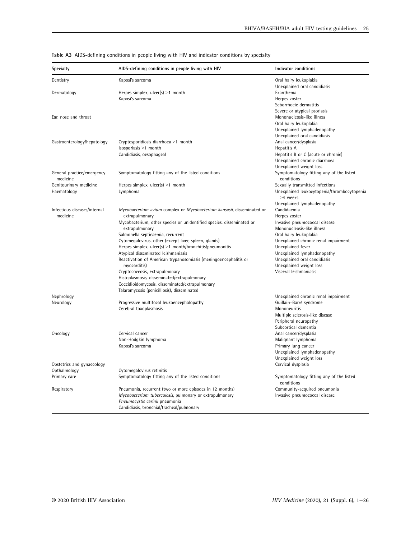| Specialty                              | AIDS-defining conditions in people living with HIV                     | Indicator conditions                                    |
|----------------------------------------|------------------------------------------------------------------------|---------------------------------------------------------|
| Dentistry                              | Kaposi's sarcoma                                                       | Oral hairy leukoplakia                                  |
|                                        |                                                                        | Unexplained oral candidiasis                            |
| Dermatology                            | Herpes simplex, $ulcer(s) > 1$ month                                   | Exanthema                                               |
|                                        | Kaposi's sarcoma                                                       | Herpes zoster                                           |
|                                        |                                                                        | Seborrhoeic dermatitis                                  |
|                                        |                                                                        | Severe or atypical psoriasis                            |
| Ear, nose and throat                   |                                                                        | Mononucleosis-like illness                              |
|                                        |                                                                        | Oral hairy leukoplakia                                  |
|                                        |                                                                        | Unexplained lymphadenopathy                             |
|                                        |                                                                        | Unexplained oral candidiasis                            |
| Gastroenterology/hepatology            | Cryptosporidiosis diarrhoea >1 month                                   | Anal cancer/dysplasia                                   |
|                                        | Isosporiasis >1 month                                                  | Hepatitis A                                             |
|                                        | Candidiasis, oesophageal                                               | Hepatitis B or C (acute or chronic)                     |
|                                        |                                                                        | Unexplained chronic diarrhoea                           |
|                                        |                                                                        | Unexplained weight loss                                 |
| General practice/emergency<br>medicine | Symptomatology fitting any of the listed conditions                    | Symptomatology fitting any of the listed<br>conditions  |
| Genitourinary medicine                 | Herpes simplex, ulcer(s) >1 month                                      | Sexually transmitted infections                         |
| Haematology                            | Lymphoma                                                               | Unexplained leukocytopenia/thrombocytopenia<br>>4 weeks |
|                                        |                                                                        | Unexplained lymphadenopathy                             |
| Infectious diseases/internal           | Mycobacterium avium complex or Mycobacterium kansasii, disseminated or | Candidaemia                                             |
| medicine                               | extrapulmonary                                                         | Herpes zoster                                           |
|                                        | Mycobacterium, other species or unidentified species, disseminated or  | Invasive pneumococcal disease                           |
|                                        | extrapulmonary                                                         | Mononucleosis-like illness                              |
|                                        | Salmonella septicaemia, recurrent                                      | Oral hairy leukoplakia                                  |
|                                        | Cytomegalovirus, other (except liver, spleen, glands)                  | Unexplained chronic renal impairment                    |
|                                        | Herpes simplex, ulcer(s) >1 month/bronchitis/pneumonitis               | Unexplained fever                                       |
|                                        | Atypical disseminated leishmaniasis                                    | Unexplained lymphadenopathy                             |
|                                        | Reactivation of American trypanosomiasis (meningoencephalitis or       | Unexplained oral candidiasis                            |
|                                        | myocarditis)                                                           | Unexplained weight loss                                 |
|                                        | Cryptococcosis, extrapulmonary                                         | Visceral leishmaniasis                                  |
|                                        | Histoplasmosis, disseminated/extrapulmonary                            |                                                         |
|                                        | Coccidioidomycosis, disseminated/extrapulmonary                        |                                                         |
|                                        | Talaromycosis (penicilliosis), disseminated                            |                                                         |
| Nephrology                             |                                                                        | Unexplained chronic renal impairment                    |
| Neurology                              | Progressive multifocal leukoencephalopathy                             | Guillain-Barré syndrome                                 |
|                                        | Cerebral toxoplasmosis                                                 | Mononeuritis                                            |
|                                        |                                                                        | Multiple sclerosis-like disease                         |
|                                        |                                                                        | Peripheral neuropathy                                   |
|                                        |                                                                        | Subcortical dementia                                    |
| Oncology                               | Cervical cancer                                                        | Anal cancer/dysplasia                                   |
|                                        | Non-Hodgkin lymphoma                                                   | Malignant lymphoma                                      |
|                                        | Kaposi's sarcoma                                                       | Primary lung cancer                                     |
|                                        |                                                                        | Unexplained lymphadenopathy                             |
|                                        |                                                                        | Unexplained weight loss                                 |
| Obstetrics and gynaecology             |                                                                        | Cervical dysplasia                                      |
| Opthalmology                           | Cytomegalovirus retinitis                                              |                                                         |
| Primary care                           | Symptomatology fitting any of the listed conditions                    | Symptomatology fitting any of the listed                |
|                                        |                                                                        | conditions                                              |
| Respiratory                            | Pneumonia, recurrent (two or more episodes in 12 months)               | Community-acquired pneumonia                            |
|                                        | Mycobacterium tuberculosis, pulmonary or extrapulmonary                | Invasive pneumococcal disease                           |
|                                        | Pneumocystis carinii pneumonia                                         |                                                         |
|                                        | Candidiasis, bronchial/tracheal/pulmonary                              |                                                         |

Table A3 AIDS-defining conditions in people living with HIV and indicator conditions by specialty